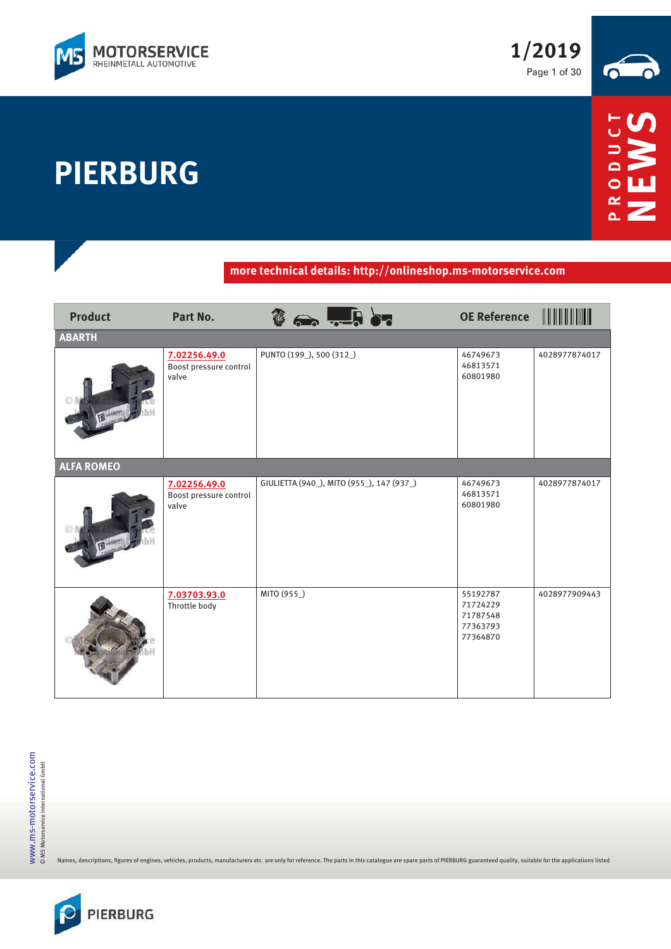

**PIERBURG**



## **more technical details: http://onlineshop.ms-motorservice.com**

| <b>Product</b>    | Part No.                                        | $\frac{3}{2}$ and $\frac{1}{2}$ . In order | <b>OE Reference</b>                                      |               |
|-------------------|-------------------------------------------------|--------------------------------------------|----------------------------------------------------------|---------------|
| <b>ABARTH</b>     |                                                 |                                            |                                                          |               |
|                   | 7.02256.49.0<br>Boost pressure control<br>valve | PUNTO (199_), 500 (312_)                   | 46749673<br>46813571<br>60801980                         | 4028977874017 |
| <b>ALFA ROMEO</b> |                                                 |                                            |                                                          |               |
|                   | 7.02256.49.0<br>Boost pressure control<br>valve | GIULIETTA (940_), MITO (955_), 147 (937_)  | 46749673<br>46813571<br>60801980                         | 4028977874017 |
|                   | 7.03703.93.0<br>Throttle body                   | MITO (955_)                                | 55192787<br>71724229<br>71787548<br>77363793<br>77364870 | 4028977909443 |

Names, descriptions, figures of engines, vehicles, products, manufacturers etc. are only for reference. The parts in this catalogue are spare parts of PIERBURG guaranteed quality, suitable for the applications listed

WWW.MS-MOtOrService.com<br>© MS Motorservice International GmbH www.ms-motorservice.com © MS Motorservice International GmbH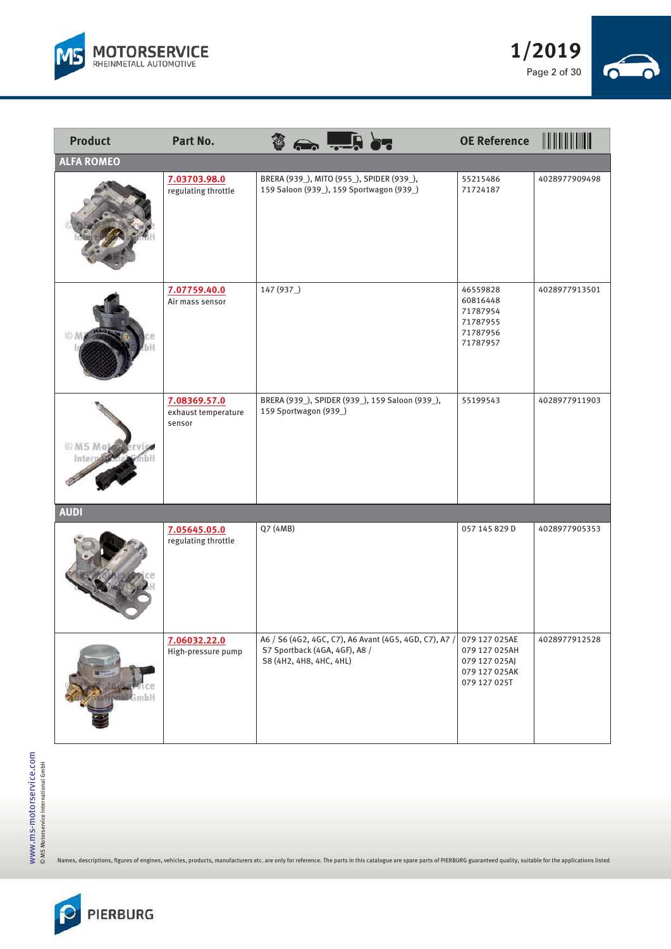



| <b>Product</b>    | Part No.                                      |                                                          | $\leftrightarrow$ $\frac{1}{2}$ or                                                    | <b>OE Reference</b>                                                              |               |
|-------------------|-----------------------------------------------|----------------------------------------------------------|---------------------------------------------------------------------------------------|----------------------------------------------------------------------------------|---------------|
| <b>ALFA ROMEO</b> |                                               |                                                          |                                                                                       |                                                                                  |               |
|                   | 7.03703.98.0<br>regulating throttle           |                                                          | BRERA (939_), MITO (955_), SPIDER (939_),<br>159 Saloon (939_), 159 Sportwagon (939_) | 55215486<br>71724187                                                             | 4028977909498 |
|                   | 7.07759.40.0<br>Air mass sensor               | 147 (937)                                                |                                                                                       | 46559828<br>60816448<br>71787954<br>71787955<br>71787956<br>71787957             | 4028977913501 |
| © MS Mot          | 7.08369.57.0<br>exhaust temperature<br>sensor | 159 Sportwagon (939_)                                    | BRERA (939_), SPIDER (939_), 159 Saloon (939_),                                       | 55199543                                                                         | 4028977911903 |
| <b>AUDI</b>       |                                               |                                                          |                                                                                       |                                                                                  |               |
|                   | 7.05645.05.0<br>regulating throttle           | Q7 (4MB)                                                 |                                                                                       | 057 145 829 D                                                                    | 4028977905353 |
|                   | 7.06032.22.0<br>High-pressure pump            | S7 Sportback (4GA, 4GF), A8 /<br>S8 (4H2, 4H8, 4HC, 4HL) | A6 / S6 (4G2, 4GC, C7), A6 Avant (4G5, 4GD, C7), A7 /                                 | 079 127 025AE<br>079 127 025AH<br>079 127 025AJ<br>079 127 025AK<br>079 127 025T | 4028977912528 |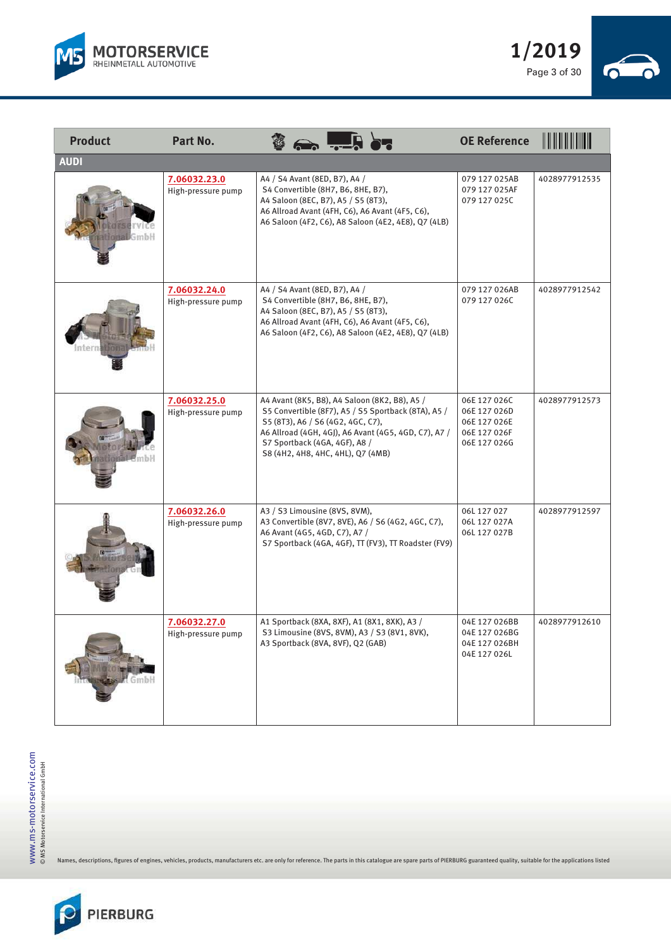



| <b>Product</b> | Part No.                           | ID.                                                                                                                                                                                                                                                                     | <b>OE Reference</b>                                                          |               |
|----------------|------------------------------------|-------------------------------------------------------------------------------------------------------------------------------------------------------------------------------------------------------------------------------------------------------------------------|------------------------------------------------------------------------------|---------------|
| <b>AUDI</b>    |                                    |                                                                                                                                                                                                                                                                         |                                                                              |               |
|                | 7.06032.23.0<br>High-pressure pump | A4 / S4 Avant (8ED, B7), A4 /<br>S4 Convertible (8H7, B6, 8HE, B7),<br>A4 Saloon (8EC, B7), A5 / S5 (8T3),<br>A6 Allroad Avant (4FH, C6), A6 Avant (4F5, C6),<br>A6 Saloon (4F2, C6), A8 Saloon (4E2, 4E8), Q7 (4LB)                                                    | 079 127 025AB<br>079 127 025AF<br>079 127 025C                               | 4028977912535 |
|                | 7.06032.24.0<br>High-pressure pump | A4 / S4 Avant (8ED, B7), A4 /<br>S4 Convertible (8H7, B6, 8HE, B7),<br>A4 Saloon (8EC, B7), A5 / S5 (8T3),<br>A6 Allroad Avant (4FH, C6), A6 Avant (4F5, C6),<br>A6 Saloon (4F2, C6), A8 Saloon (4E2, 4E8), Q7 (4LB)                                                    | 079 127 026AB<br>079 127 026C                                                | 4028977912542 |
|                | 7.06032.25.0<br>High-pressure pump | A4 Avant (8K5, B8), A4 Saloon (8K2, B8), A5 /<br>S5 Convertible (8F7), A5 / S5 Sportback (8TA), A5 /<br>S5 (8T3), A6 / S6 (4G2, 4GC, C7),<br>A6 Allroad (4GH, 4GJ), A6 Avant (4G5, 4GD, C7), A7 /<br>S7 Sportback (4GA, 4GF), A8 /<br>S8 (4H2, 4H8, 4HC, 4HL), Q7 (4MB) | 06E 127 026C<br>06E 127 026D<br>06E 127 026E<br>06E 127 026F<br>06E 127 026G | 4028977912573 |
|                | 7.06032.26.0<br>High-pressure pump | A3 / S3 Limousine (8VS, 8VM),<br>A3 Convertible (8V7, 8VE), A6 / S6 (4G2, 4GC, C7),<br>A6 Avant (4G5, 4GD, C7), A7 /<br>S7 Sportback (4GA, 4GF), TT (FV3), TT Roadster (FV9)                                                                                            | 06L 127 027<br>06L 127 027A<br>06L 127 027B                                  | 4028977912597 |
| Gmbl           | 7.06032.27.0<br>High-pressure pump | A1 Sportback (8XA, 8XF), A1 (8X1, 8XK), A3 /<br>S3 Limousine (8VS, 8VM), A3 / S3 (8V1, 8VK),<br>A3 Sportback (8VA, 8VF), Q2 (GAB)                                                                                                                                       | 04E 127 026BB<br>04E 127 026BG<br>04E 127 026BH<br>04E 127 026L              | 4028977912610 |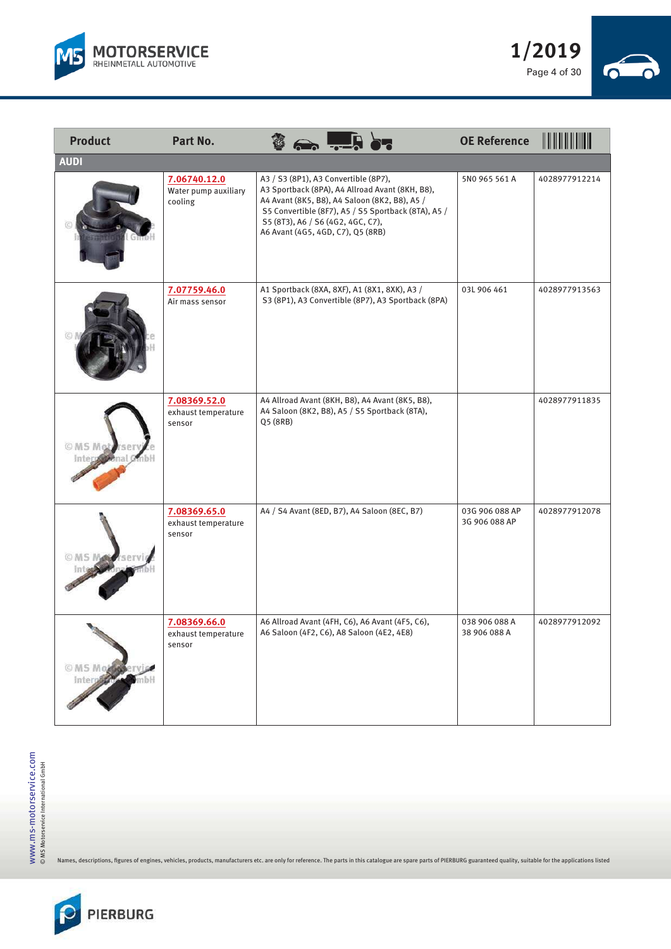



| <b>Product</b>         | Part No.                                        | D.                                                                                                                                                                                                                                                                        | <b>OE Reference</b>             | <u> IIII IIII IIIII</u> |
|------------------------|-------------------------------------------------|---------------------------------------------------------------------------------------------------------------------------------------------------------------------------------------------------------------------------------------------------------------------------|---------------------------------|-------------------------|
| <b>AUDI</b>            |                                                 |                                                                                                                                                                                                                                                                           |                                 |                         |
|                        | 7.06740.12.0<br>Water pump auxiliary<br>cooling | A3 / S3 (8P1), A3 Convertible (8P7),<br>A3 Sportback (8PA), A4 Allroad Avant (8KH, B8),<br>A4 Avant (8K5, B8), A4 Saloon (8K2, B8), A5 /<br>S5 Convertible (8F7), A5 / S5 Sportback (8TA), A5 /<br>S5 (8T3), A6 / S6 (4G2, 4GC, C7),<br>A6 Avant (4G5, 4GD, C7), Q5 (8RB) | 5N0 965 561 A                   | 4028977912214           |
|                        | 7.07759.46.0<br>Air mass sensor                 | A1 Sportback (8XA, 8XF), A1 (8X1, 8XK), A3 /<br>S3 (8P1), A3 Convertible (8P7), A3 Sportback (8PA)                                                                                                                                                                        | 03L 906 461                     | 4028977913563           |
| O MS Motorser<br>Inter | 7.08369.52.0<br>exhaust temperature<br>sensor   | A4 Allroad Avant (8KH, B8), A4 Avant (8K5, B8),<br>A4 Saloon (8K2, B8), A5 / S5 Sportback (8TA),<br>Q5 (8RB)                                                                                                                                                              |                                 | 4028977911835           |
|                        | 7.08369.65.0<br>exhaust temperature<br>sensor   | A4 / S4 Avant (8ED, B7), A4 Saloon (8EC, B7)                                                                                                                                                                                                                              | 03G 906 088 AP<br>3G 906 088 AP | 4028977912078           |
| O MS Motory            | 7.08369.66.0<br>exhaust temperature<br>sensor   | A6 Allroad Avant (4FH, C6), A6 Avant (4F5, C6),<br>A6 Saloon (4F2, C6), A8 Saloon (4E2, 4E8)                                                                                                                                                                              | 038 906 088 A<br>38 906 088 A   | 4028977912092           |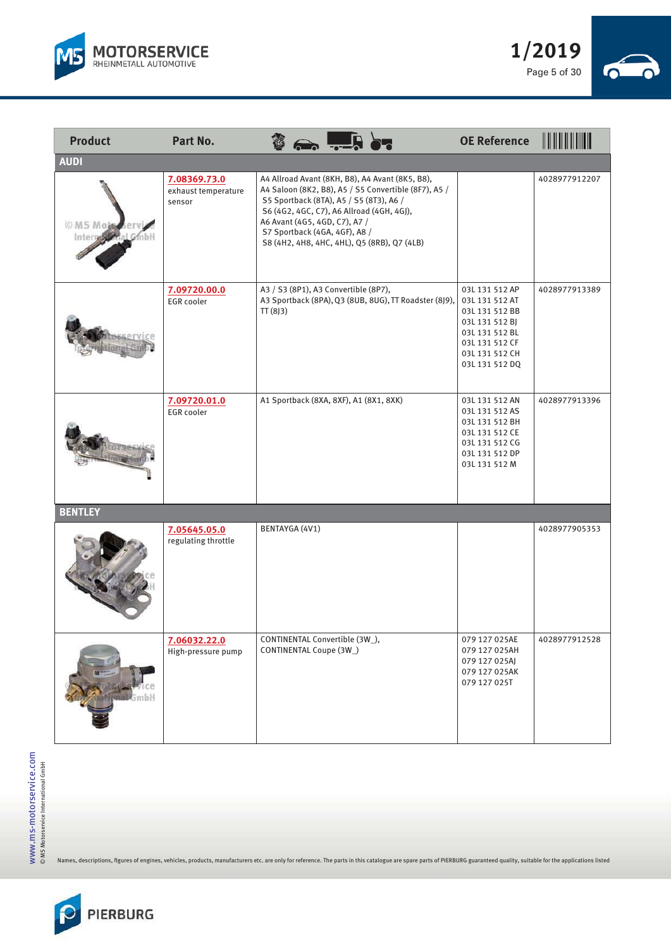



| <b>Product</b>         | Part No.                                      | <b>De La de La des</b>                                                                                                                                                                                                                                                                                           | <b>OE Reference</b>                                                                                                                          |               |
|------------------------|-----------------------------------------------|------------------------------------------------------------------------------------------------------------------------------------------------------------------------------------------------------------------------------------------------------------------------------------------------------------------|----------------------------------------------------------------------------------------------------------------------------------------------|---------------|
| <b>AUDI</b>            |                                               |                                                                                                                                                                                                                                                                                                                  |                                                                                                                                              |               |
| <b>OMSMOR</b><br>Inter | 7.08369.73.0<br>exhaust temperature<br>sensor | A4 Allroad Avant (8KH, B8), A4 Avant (8K5, B8),<br>A4 Saloon (8K2, B8), A5 / S5 Convertible (8F7), A5 /<br>S5 Sportback (8TA), A5 / S5 (8T3), A6 /<br>S6 (4G2, 4GC, C7), A6 Allroad (4GH, 4GJ),<br>A6 Avant (4G5, 4GD, C7), A7 /<br>S7 Sportback (4GA, 4GF), A8 /<br>S8 (4H2, 4H8, 4HC, 4HL), Q5 (8RB), Q7 (4LB) |                                                                                                                                              | 4028977912207 |
|                        | 7.09720.00.0<br>EGR cooler                    | A3 / S3 (8P1), A3 Convertible (8P7),<br>A3 Sportback (8PA), Q3 (8UB, 8UG), TT Roadster (8J9),<br>TT(8J3)                                                                                                                                                                                                         | 03L 131 512 AP<br>03L 131 512 AT<br>03L 131 512 BB<br>03L 131 512 BJ<br>03L 131 512 BL<br>03L 131 512 CF<br>03L 131 512 CH<br>03L 131 512 DQ | 4028977913389 |
|                        | 7.09720.01.0<br><b>EGR</b> cooler             | A1 Sportback (8XA, 8XF), A1 (8X1, 8XK)                                                                                                                                                                                                                                                                           | 03L 131 512 AN<br>03L 131 512 AS<br>03L 131 512 BH<br>03L 131 512 CE<br>03L 131 512 CG<br>03L 131 512 DP<br>03L 131 512 M                    | 4028977913396 |
| <b>BENTLEY</b>         |                                               |                                                                                                                                                                                                                                                                                                                  |                                                                                                                                              |               |
|                        | 7.05645.05.0<br>regulating throttle           | BENTAYGA (4V1)                                                                                                                                                                                                                                                                                                   |                                                                                                                                              | 4028977905353 |
|                        | 7.06032.22.0<br>High-pressure pump            | CONTINENTAL Convertible (3W_),<br>CONTINENTAL Coupe (3W_)                                                                                                                                                                                                                                                        | 079 127 025AE<br>079 127 025AH<br>079 127 025AJ<br>079 127 025AK<br>079 127 025T                                                             | 4028977912528 |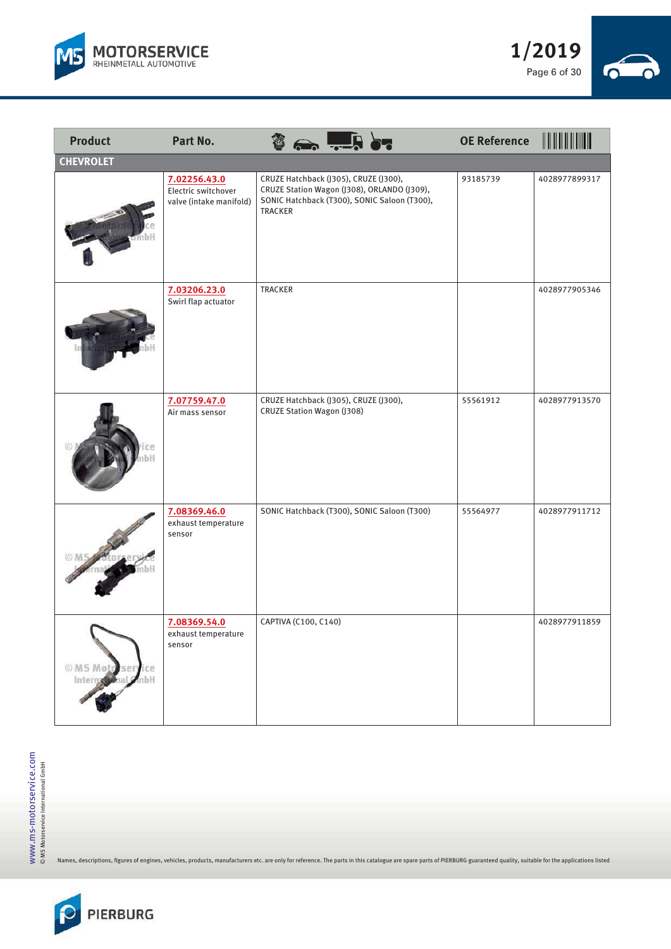



| <b>Product</b>   | Part No.                                                       | D.                                                                                                                                              | <b>OE Reference</b> |               |
|------------------|----------------------------------------------------------------|-------------------------------------------------------------------------------------------------------------------------------------------------|---------------------|---------------|
| <b>CHEVROLET</b> |                                                                |                                                                                                                                                 |                     |               |
|                  | 7.02256.43.0<br>Electric switchover<br>valve (intake manifold) | CRUZE Hatchback (J305), CRUZE (J300),<br>CRUZE Station Wagon (J308), ORLANDO (J309),<br>SONIC Hatchback (T300), SONIC Saloon (T300),<br>TRACKER | 93185739            | 4028977899317 |
|                  | 7.03206.23.0<br>Swirl flap actuator                            | TRACKER                                                                                                                                         |                     | 4028977905346 |
|                  | 7.07759.47.0<br>Air mass sensor                                | CRUZE Hatchback (J305), CRUZE (J300),<br>CRUZE Station Wagon (J308)                                                                             | 55561912            | 4028977913570 |
|                  | 7.08369.46.0<br>exhaust temperature<br>sensor                  | SONIC Hatchback (T300), SONIC Saloon (T300)                                                                                                     | 55564977            | 4028977911712 |
| MS Moto service  | 7.08369.54.0<br>exhaust temperature<br>sensor                  | CAPTIVA (C100, C140)                                                                                                                            |                     | 4028977911859 |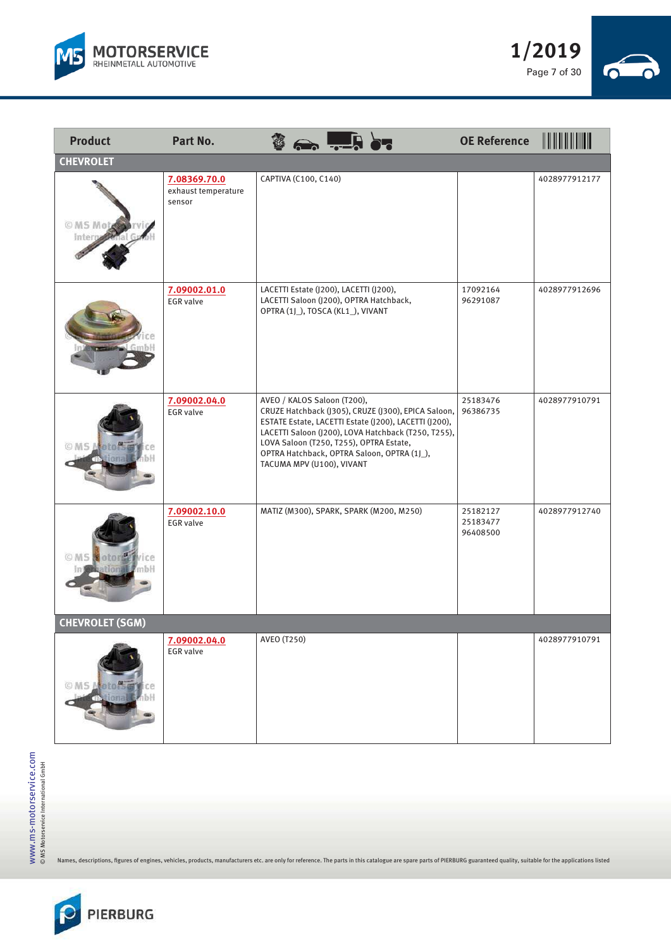



| <b>Product</b>                   | <b>Part No.</b>                               |                                                          | <b>Control des</b>                                                                                                                                                                                                                                            | <b>OE Reference</b>              |               |
|----------------------------------|-----------------------------------------------|----------------------------------------------------------|---------------------------------------------------------------------------------------------------------------------------------------------------------------------------------------------------------------------------------------------------------------|----------------------------------|---------------|
| <b>CHEVROLET</b>                 |                                               |                                                          |                                                                                                                                                                                                                                                               |                                  |               |
| <b>OMS Mote</b><br>Inter         | 7.08369.70.0<br>exhaust temperature<br>sensor | CAPTIVA (C100, C140)                                     |                                                                                                                                                                                                                                                               |                                  | 4028977912177 |
|                                  | 7.09002.01.0<br><b>EGR</b> valve              | OPTRA (1J_), TOSCA (KL1_), VIVANT                        | LACETTI Estate (J200), LACETTI (J200),<br>LACETTI Saloon (J200), OPTRA Hatchback,                                                                                                                                                                             | 17092164<br>96291087             | 4028977912696 |
|                                  | 7.09002.04.0<br><b>EGR</b> valve              | AVEO / KALOS Saloon (T200),<br>TACUMA MPV (U100), VIVANT | CRUZE Hatchback (J305), CRUZE (J300), EPICA Saloon,<br>ESTATE Estate, LACETTI Estate (J200), LACETTI (J200),<br>LACETTI Saloon (J200), LOVA Hatchback (T250, T255),<br>LOVA Saloon (T250, T255), OPTRA Estate,<br>OPTRA Hatchback, OPTRA Saloon, OPTRA (1J_), | 25183476<br>96386735             | 4028977910791 |
| otor <sup>d</sup> Ivice<br>© M S | 7.09002.10.0<br><b>EGR</b> valve              |                                                          | MATIZ (M300), SPARK, SPARK (M200, M250)                                                                                                                                                                                                                       | 25182127<br>25183477<br>96408500 | 4028977912740 |
| <b>CHEVROLET (SGM)</b>           |                                               |                                                          |                                                                                                                                                                                                                                                               |                                  |               |
| © MS Moto<br>ional               | 7.09002.04.0<br><b>EGR</b> valve              | AVEO (T250)                                              |                                                                                                                                                                                                                                                               |                                  | 4028977910791 |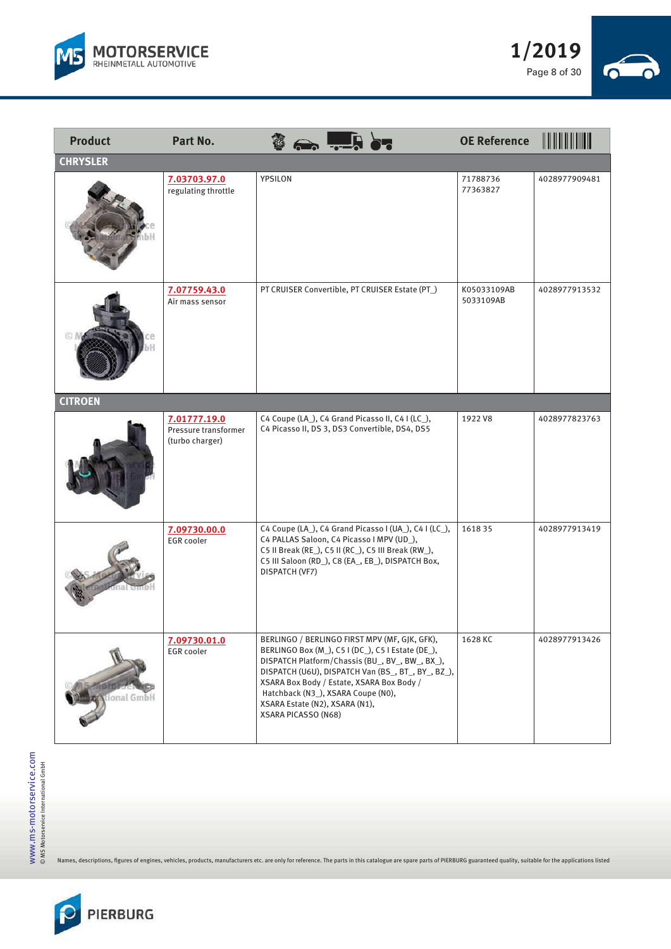



| <b>Product</b>    | Part No.                                                |                                                                                             |                                                                                                                                                                                                                                                          | <b>OE Reference</b>      |               |
|-------------------|---------------------------------------------------------|---------------------------------------------------------------------------------------------|----------------------------------------------------------------------------------------------------------------------------------------------------------------------------------------------------------------------------------------------------------|--------------------------|---------------|
| <b>CHRYSLER</b>   |                                                         |                                                                                             |                                                                                                                                                                                                                                                          |                          |               |
|                   | 7.03703.97.0<br>regulating throttle                     | YPSILON                                                                                     |                                                                                                                                                                                                                                                          | 71788736<br>77363827     | 4028977909481 |
|                   | 7.07759.43.0<br>Air mass sensor                         |                                                                                             | PT CRUISER Convertible, PT CRUISER Estate (PT_)                                                                                                                                                                                                          | K05033109AB<br>5033109AB | 4028977913532 |
| <b>CITROEN</b>    |                                                         |                                                                                             |                                                                                                                                                                                                                                                          |                          |               |
|                   | 7.01777.19.0<br>Pressure transformer<br>(turbo charger) |                                                                                             | C4 Coupe (LA_), C4 Grand Picasso II, C4 I (LC_),<br>C4 Picasso II, DS 3, DS3 Convertible, DS4, DS5                                                                                                                                                       | 1922 V8                  | 4028977823763 |
|                   | 7.09730.00.0<br><b>EGR</b> cooler                       | DISPATCH (VF7)                                                                              | C4 Coupe (LA_), C4 Grand Picasso I (UA_), C4 I (LC_),<br>C4 PALLAS Saloon, C4 Picasso I MPV (UD_),<br>C5 II Break (RE_), C5 II (RC_), C5 III Break (RW_),<br>C5 III Saloon (RD_), C8 (EA_, EB_), DISPATCH Box,                                           | 161835                   | 4028977913419 |
| <b>Bonal GmbH</b> | 7.09730.01.0<br>EGR cooler                              | Hatchback (N3_), XSARA Coupe (N0),<br>XSARA Estate (N2), XSARA (N1),<br>XSARA PICASSO (N68) | BERLINGO / BERLINGO FIRST MPV (MF, GJK, GFK),<br>BERLINGO Box (M_), C5 I (DC_), C5 I Estate (DE_),<br>DISPATCH Platform/Chassis (BU_, BV_, BW_, BX_),<br>DISPATCH (U6U), DISPATCH Van (BS_, BT_, BY_, BZ_),<br>XSARA Box Body / Estate, XSARA Box Body / | 1628 KC                  | 4028977913426 |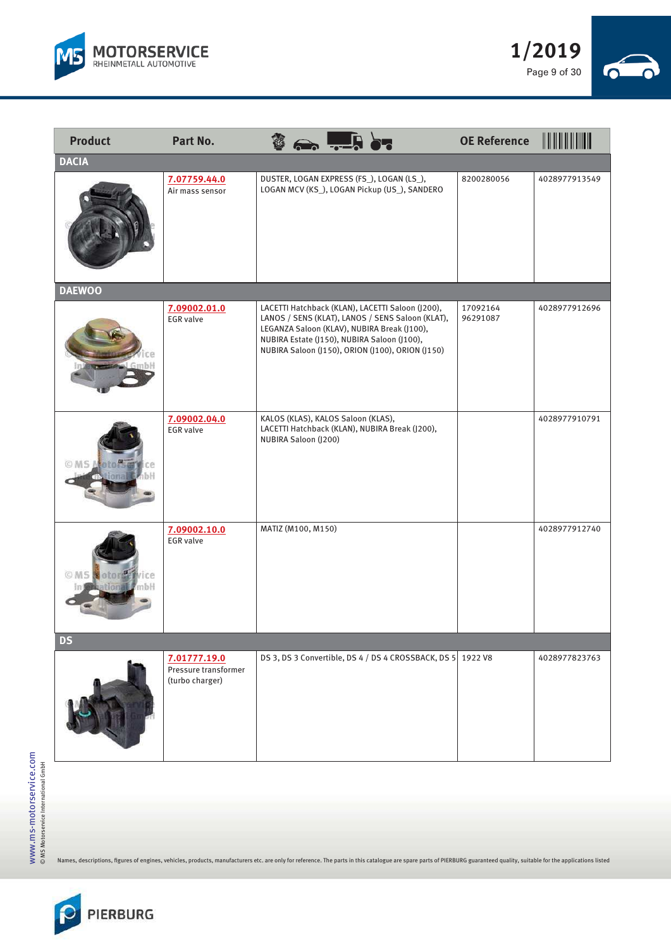



| <b>Product</b>                     | Part No.                                                | $\sum$                                                                                     |                                                                                                                                                          | <b>OE Reference</b>  | <u> III III III III III I</u> |
|------------------------------------|---------------------------------------------------------|--------------------------------------------------------------------------------------------|----------------------------------------------------------------------------------------------------------------------------------------------------------|----------------------|-------------------------------|
| <b>DACIA</b>                       |                                                         |                                                                                            |                                                                                                                                                          |                      |                               |
|                                    | 7.07759.44.0<br>Air mass sensor                         | DUSTER, LOGAN EXPRESS (FS_), LOGAN (LS_),                                                  | LOGAN MCV (KS_), LOGAN Pickup (US_), SANDERO                                                                                                             | 8200280056           | 4028977913549                 |
| <b>DAEWOO</b>                      |                                                         |                                                                                            |                                                                                                                                                          |                      |                               |
|                                    | 7.09002.01.0<br><b>EGR</b> valve                        | LEGANZA Saloon (KLAV), NUBIRA Break (J100),<br>NUBIRA Estate (J150), NUBIRA Saloon (J100), | LACETTI Hatchback (KLAN), LACETTI Saloon (J200),<br>LANOS / SENS (KLAT), LANOS / SENS Saloon (KLAT),<br>NUBIRA Saloon (J150), ORION (J100), ORION (J150) | 17092164<br>96291087 | 4028977912696                 |
| <b>OIOIS#</b><br>O MS M            | 7.09002.04.0<br><b>EGR</b> valve                        | KALOS (KLAS), KALOS Saloon (KLAS),<br>NUBIRA Saloon (J200)                                 | LACETTI Hatchback (KLAN), NUBIRA Break (J200),                                                                                                           |                      | 4028977910791                 |
| otorselvice<br>OMS<br>mbH<br>៖សោរា | 7.09002.10.0<br><b>EGR</b> valve                        | MATIZ (M100, M150)                                                                         |                                                                                                                                                          |                      | 4028977912740                 |
| <b>DS</b>                          |                                                         |                                                                                            |                                                                                                                                                          |                      |                               |
|                                    | 7.01777.19.0<br>Pressure transformer<br>(turbo charger) |                                                                                            | DS 3, DS 3 Convertible, DS 4 / DS 4 CROSSBACK, DS 5 1922 V8                                                                                              |                      | 4028977823763                 |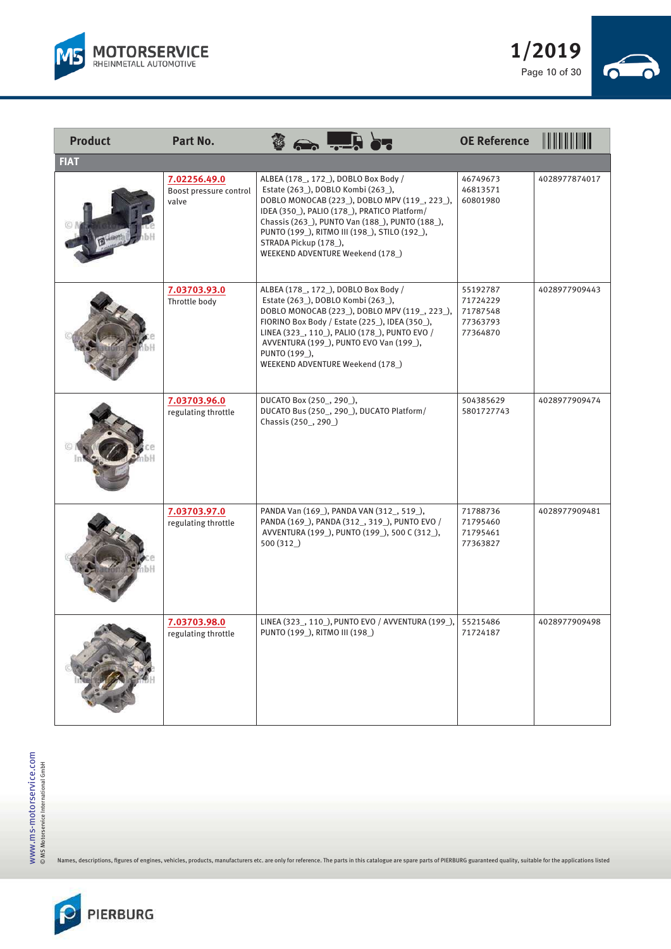



| <b>Product</b> | Part No.                                        |                                                                                                                                                                                                                                                                                                                                            | <b>OE Reference</b>                                      |               |
|----------------|-------------------------------------------------|--------------------------------------------------------------------------------------------------------------------------------------------------------------------------------------------------------------------------------------------------------------------------------------------------------------------------------------------|----------------------------------------------------------|---------------|
| <b>FIAT</b>    |                                                 |                                                                                                                                                                                                                                                                                                                                            |                                                          |               |
|                | 7.02256.49.0<br>Boost pressure control<br>valve | ALBEA (178_, 172_), DOBLO Box Body /<br>Estate (263), DOBLO Kombi (263),<br>DOBLO MONOCAB (223_), DOBLO MPV (119_, 223_),<br>IDEA (350_), PALIO (178_), PRATICO Platform/<br>Chassis (263_), PUNTO Van (188_), PUNTO (188_),<br>PUNTO (199_), RITMO III (198_), STILO (192_),<br>STRADA Pickup (178_),<br>WEEKEND ADVENTURE Weekend (178_) | 46749673<br>46813571<br>60801980                         | 4028977874017 |
|                | 7.03703.93.0<br>Throttle body                   | ALBEA (178_, 172_), DOBLO Box Body /<br>Estate (263_), DOBLO Kombi (263_),<br>DOBLO MONOCAB (223_), DOBLO MPV (119_, 223_),<br>FIORINO Box Body / Estate (225_), IDEA (350_),<br>LINEA (323_, 110_), PALIO (178_), PUNTO EVO /<br>AVVENTURA (199_), PUNTO EVO Van (199_),<br>PUNTO (199_),<br>WEEKEND ADVENTURE Weekend (178_)             | 55192787<br>71724229<br>71787548<br>77363793<br>77364870 | 4028977909443 |
|                | 7.03703.96.0<br>regulating throttle             | DUCATO Box (250, 290),<br>DUCATO Bus (250_, 290_), DUCATO Platform/<br>Chassis (250_, 290_)                                                                                                                                                                                                                                                | 504385629<br>5801727743                                  | 4028977909474 |
|                | 7.03703.97.0<br>regulating throttle             | PANDA Van (169_), PANDA VAN (312_, 519_),<br>PANDA (169_), PANDA (312_, 319_), PUNTO EVO /<br>AVVENTURA (199_), PUNTO (199_), 500 C (312_),<br>500 (312)                                                                                                                                                                                   | 71788736<br>71795460<br>71795461<br>77363827             | 4028977909481 |
|                | 7.03703.98.0<br>regulating throttle             | LINEA (323_, 110_), PUNTO EVO / AVVENTURA (199_),<br>PUNTO (199_), RITMO III (198_)                                                                                                                                                                                                                                                        | 55215486<br>71724187                                     | 4028977909498 |

 $\overline{\phantom{a}}$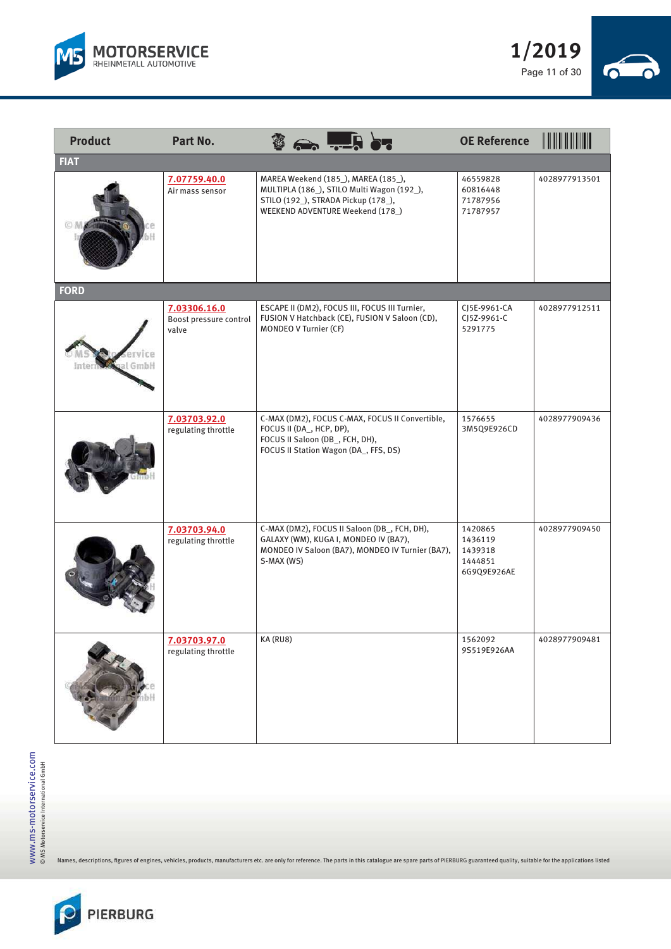



| <b>Product</b> | Part No.                                        |                                                            | $\leftrightarrow$ . $\Box$                                                                                                                                   | <b>OE Reference</b>                                     | <u> HIIIIIIIIIIII</u> |
|----------------|-------------------------------------------------|------------------------------------------------------------|--------------------------------------------------------------------------------------------------------------------------------------------------------------|---------------------------------------------------------|-----------------------|
| <b>FIAT</b>    |                                                 |                                                            |                                                                                                                                                              |                                                         |                       |
|                | 7.07759.40.0<br>Air mass sensor                 |                                                            | MAREA Weekend (185_), MAREA (185_),<br>MULTIPLA (186_), STILO Multi Wagon (192_),<br>STILO (192_), STRADA Pickup (178_),<br>WEEKEND ADVENTURE Weekend (178_) | 46559828<br>60816448<br>71787956<br>71787957            | 4028977913501         |
| <b>FORD</b>    |                                                 |                                                            |                                                                                                                                                              |                                                         |                       |
|                | 7.03306.16.0<br>Boost pressure control<br>valve | MONDEO V Turnier (CF)                                      | ESCAPE II (DM2), FOCUS III, FOCUS III Turnier,<br>FUSION V Hatchback (CE), FUSION V Saloon (CD),                                                             | CJ5E-9961-CA<br>CJ5Z-9961-C<br>5291775                  | 4028977912511         |
|                | 7.03703.92.0<br>regulating throttle             | FOCUS II (DA, HCP, DP),<br>FOCUS II Saloon (DB_, FCH, DH), | C-MAX (DM2), FOCUS C-MAX, FOCUS II Convertible,<br>FOCUS II Station Wagon (DA_, FFS, DS)                                                                     | 1576655<br>3M5Q9E926CD                                  | 4028977909436         |
|                | 7.03703.94.0<br>regulating throttle             | S-MAX (WS)                                                 | C-MAX (DM2), FOCUS II Saloon (DB_, FCH, DH),<br>GALAXY (WM), KUGA I, MONDEO IV (BA7),<br>MONDEO IV Saloon (BA7), MONDEO IV Turnier (BA7),                    | 1420865<br>1436119<br>1439318<br>1444851<br>6G9Q9E926AE | 4028977909450         |
|                | 7.03703.97.0<br>regulating throttle             | KA (RU8)                                                   |                                                                                                                                                              | 1562092<br>9S519E926AA                                  | 4028977909481         |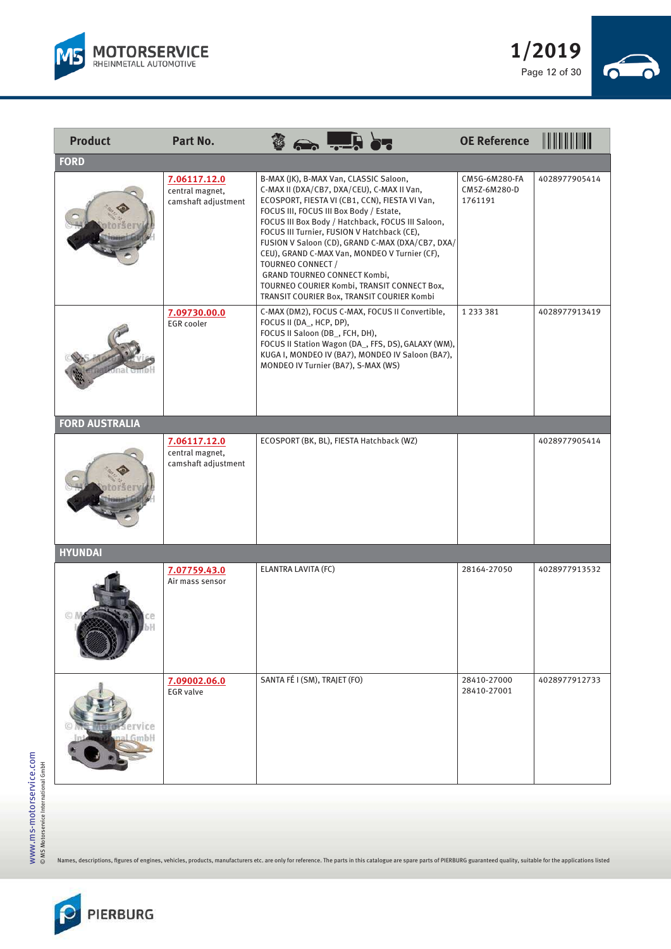



| <b>Product</b>        | Part No.                                               |                                                                                                                                                                                                                                                                                                                                                                                                                                                                                                                                              | <b>OE Reference</b>                      | <u> III III III III II</u> |
|-----------------------|--------------------------------------------------------|----------------------------------------------------------------------------------------------------------------------------------------------------------------------------------------------------------------------------------------------------------------------------------------------------------------------------------------------------------------------------------------------------------------------------------------------------------------------------------------------------------------------------------------------|------------------------------------------|----------------------------|
| <b>FORD</b>           |                                                        |                                                                                                                                                                                                                                                                                                                                                                                                                                                                                                                                              |                                          |                            |
|                       | 7.06117.12.0<br>central magnet,<br>camshaft adjustment | B-MAX (JK), B-MAX Van, CLASSIC Saloon,<br>C-MAX II (DXA/CB7, DXA/CEU), C-MAX II Van,<br>ECOSPORT, FIESTA VI (CB1, CCN), FIESTA VI Van,<br>FOCUS III, FOCUS III Box Body / Estate,<br>FOCUS III Box Body / Hatchback, FOCUS III Saloon,<br>FOCUS III Turnier, FUSION V Hatchback (CE),<br>FUSION V Saloon (CD), GRAND C-MAX (DXA/CB7, DXA/<br>CEU), GRAND C-MAX Van, MONDEO V Turnier (CF),<br>TOURNEO CONNECT /<br>GRAND TOURNEO CONNECT Kombi,<br>TOURNEO COURIER Kombi, TRANSIT CONNECT Box,<br>TRANSIT COURIER Box, TRANSIT COURIER Kombi | CM5G-6M280-FA<br>CM5Z-6M280-D<br>1761191 | 4028977905414              |
|                       | 7.09730.00.0<br>EGR cooler                             | C-MAX (DM2), FOCUS C-MAX, FOCUS II Convertible,<br>FOCUS II (DA, HCP, DP),<br>FOCUS II Saloon (DB_, FCH, DH),<br>FOCUS II Station Wagon (DA_, FFS, DS), GALAXY (WM),<br>KUGA I, MONDEO IV (BA7), MONDEO IV Saloon (BA7),<br>MONDEO IV Turnier (BA7), S-MAX (WS)                                                                                                                                                                                                                                                                              | 1 2 3 3 3 8 1                            | 4028977913419              |
| <b>FORD AUSTRALIA</b> |                                                        |                                                                                                                                                                                                                                                                                                                                                                                                                                                                                                                                              |                                          |                            |
|                       | 7.06117.12.0<br>central magnet,<br>camshaft adjustment | ECOSPORT (BK, BL), FIESTA Hatchback (WZ)                                                                                                                                                                                                                                                                                                                                                                                                                                                                                                     |                                          | 4028977905414              |
| <b>HYUNDAI</b>        |                                                        |                                                                                                                                                                                                                                                                                                                                                                                                                                                                                                                                              |                                          |                            |
|                       | 7.07759.43.0<br>Air mass sensor                        | ELANTRA LAVITA (FC)                                                                                                                                                                                                                                                                                                                                                                                                                                                                                                                          | 28164-27050                              | 4028977913532              |
|                       | 7.09002.06.0<br><b>EGR</b> valve                       | SANTA FÉ I (SM), TRAJET (FO)                                                                                                                                                                                                                                                                                                                                                                                                                                                                                                                 | 28410-27000<br>28410-27001               | 4028977912733              |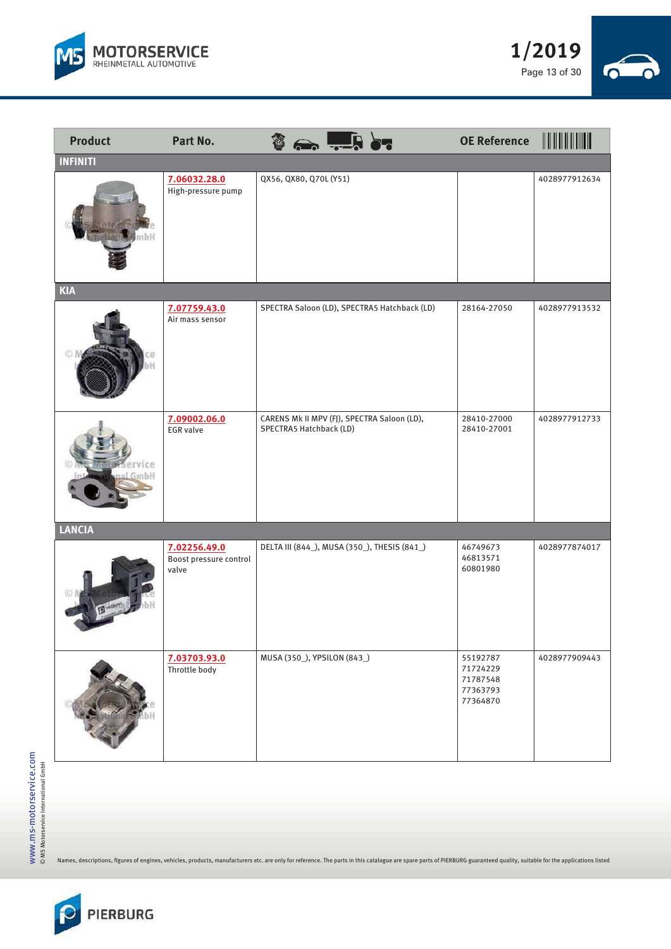



| <b>Product</b>  | Part No.                                        |                             | $\vert \hspace{-0.6em} \vert \hspace{-0.6em} \vert \hspace{-0.6em} \vert \hspace{-0.6em} \vert \hspace{-0.6em} \vert \hspace{-0.6em} \vert$ | <b>OE Reference</b>                                      | $\  \  \  \  \  \  \ $ |
|-----------------|-------------------------------------------------|-----------------------------|---------------------------------------------------------------------------------------------------------------------------------------------|----------------------------------------------------------|------------------------|
| <b>INFINITI</b> |                                                 |                             |                                                                                                                                             |                                                          |                        |
|                 | 7.06032.28.0<br>High-pressure pump              | QX56, QX80, Q70L (Y51)      |                                                                                                                                             |                                                          | 4028977912634          |
| <b>KIA</b>      |                                                 |                             |                                                                                                                                             |                                                          |                        |
|                 | 7.07759.43.0<br>Air mass sensor                 |                             | SPECTRA Saloon (LD), SPECTRA5 Hatchback (LD)                                                                                                | 28164-27050                                              | 4028977913532          |
|                 | 7.09002.06.0<br><b>EGR</b> valve                | SPECTRA5 Hatchback (LD)     | CARENS Mk II MPV (FJ), SPECTRA Saloon (LD),                                                                                                 | 28410-27000<br>28410-27001                               | 4028977912733          |
| <b>LANCIA</b>   |                                                 |                             |                                                                                                                                             |                                                          |                        |
|                 | 7.02256.49.0<br>Boost pressure control<br>valve |                             | DELTA III (844_), MUSA (350_), THESIS (841_)                                                                                                | 46749673<br>46813571<br>60801980                         | 4028977874017          |
|                 | 7.03703.93.0<br>Throttle body                   | MUSA (350_), YPSILON (843_) |                                                                                                                                             | 55192787<br>71724229<br>71787548<br>77363793<br>77364870 | 4028977909443          |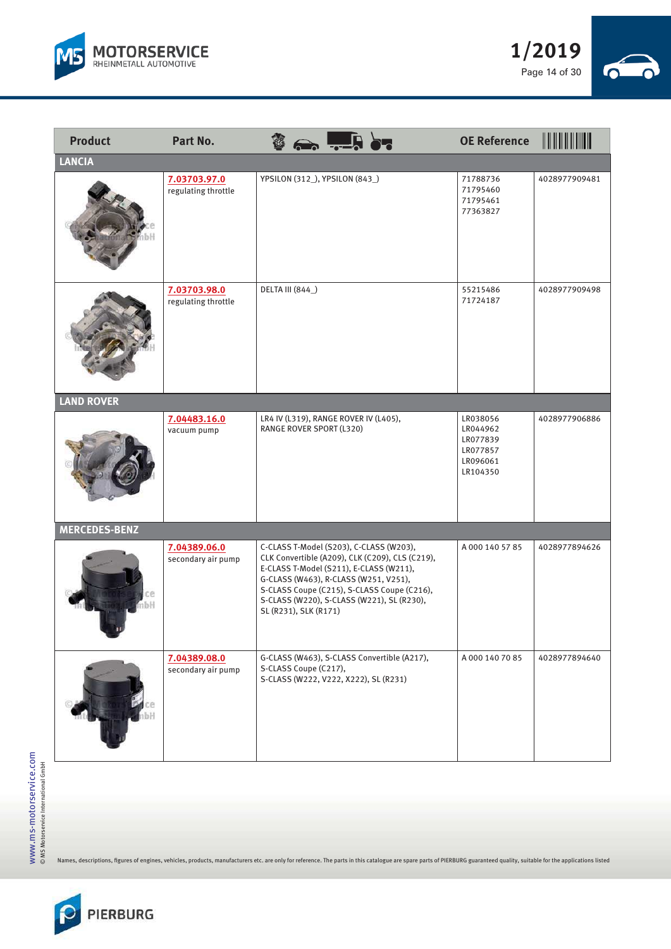



| <b>Product</b>       | <b>Part No.</b>                     | $\Rightarrow$ $\frac{1}{2}$ $\Rightarrow$                                                                                                                                                                                                                                                            | <b>OE Reference</b>                                                  |               |
|----------------------|-------------------------------------|------------------------------------------------------------------------------------------------------------------------------------------------------------------------------------------------------------------------------------------------------------------------------------------------------|----------------------------------------------------------------------|---------------|
| <b>LANCIA</b>        |                                     |                                                                                                                                                                                                                                                                                                      |                                                                      |               |
|                      | 7.03703.97.0<br>regulating throttle | YPSILON (312_), YPSILON (843_)                                                                                                                                                                                                                                                                       | 71788736<br>71795460<br>71795461<br>77363827                         | 4028977909481 |
|                      | 7.03703.98.0<br>regulating throttle | DELTA III (844_)                                                                                                                                                                                                                                                                                     | 55215486<br>71724187                                                 | 4028977909498 |
| <b>LAND ROVER</b>    |                                     |                                                                                                                                                                                                                                                                                                      |                                                                      |               |
|                      | 7.04483.16.0<br>vacuum pump         | LR4 IV (L319), RANGE ROVER IV (L405),<br>RANGE ROVER SPORT (L320)                                                                                                                                                                                                                                    | LR038056<br>LR044962<br>LR077839<br>LR077857<br>LR096061<br>LR104350 | 4028977906886 |
| <b>MERCEDES-BENZ</b> |                                     |                                                                                                                                                                                                                                                                                                      |                                                                      |               |
| ıbH                  | 7.04389.06.0<br>secondary air pump  | C-CLASS T-Model (S203), C-CLASS (W203),<br>CLK Convertible (A209), CLK (C209), CLS (C219),<br>E-CLASS T-Model (S211), E-CLASS (W211),<br>G-CLASS (W463), R-CLASS (W251, V251),<br>S-CLASS Coupe (C215), S-CLASS Coupe (C216),<br>S-CLASS (W220), S-CLASS (W221), SL (R230),<br>SL (R231), SLK (R171) | A 000 140 57 85                                                      | 4028977894626 |
|                      | 7.04389.08.0<br>secondary air pump  | G-CLASS (W463), S-CLASS Convertible (A217),<br>S-CLASS Coupe (C217),<br>S-CLASS (W222, V222, X222), SL (R231)                                                                                                                                                                                        | A 000 140 70 85                                                      | 4028977894640 |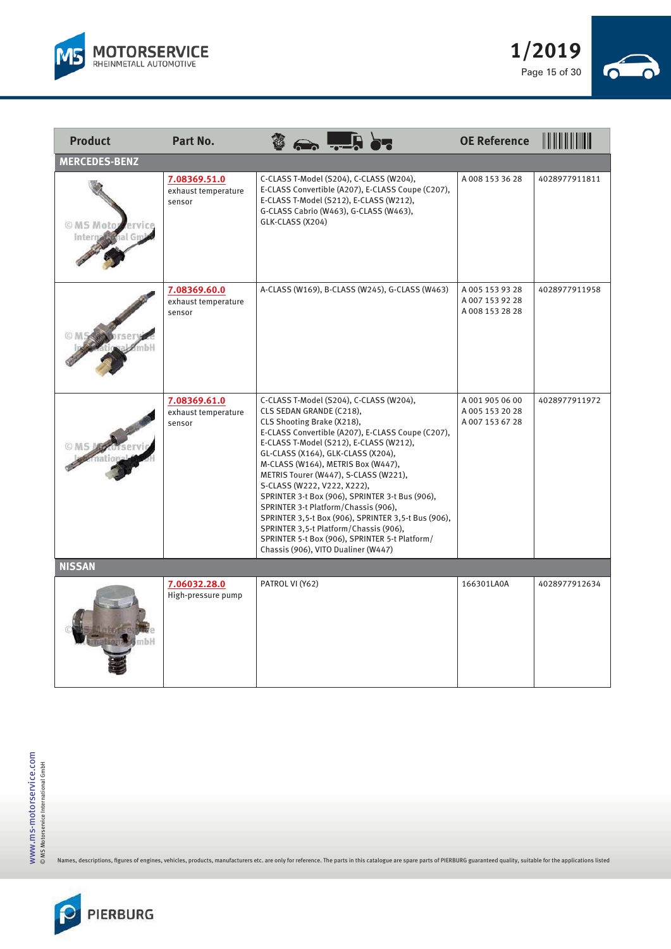



| <b>Product</b>       | Part No.                                      |                                                                                                                                                                                                            | $\Rightarrow$ which $\frac{1}{2}$                                                                                                                                                                                                                                                                                                                                                                                            | <b>OE Reference</b>                               | <b>THEFFERENT</b> |
|----------------------|-----------------------------------------------|------------------------------------------------------------------------------------------------------------------------------------------------------------------------------------------------------------|------------------------------------------------------------------------------------------------------------------------------------------------------------------------------------------------------------------------------------------------------------------------------------------------------------------------------------------------------------------------------------------------------------------------------|---------------------------------------------------|-------------------|
| <b>MERCEDES-BENZ</b> |                                               |                                                                                                                                                                                                            |                                                                                                                                                                                                                                                                                                                                                                                                                              |                                                   |                   |
| © MS Mote            | 7.08369.51.0<br>exhaust temperature<br>sensor | GLK-CLASS (X204)                                                                                                                                                                                           | C-CLASS T-Model (S204), C-CLASS (W204),<br>E-CLASS Convertible (A207), E-CLASS Coupe (C207),<br>E-CLASS T-Model (S212), E-CLASS (W212),<br>G-CLASS Cabrio (W463), G-CLASS (W463),                                                                                                                                                                                                                                            | A0081533628                                       | 4028977911811     |
|                      | 7.08369.60.0<br>exhaust temperature<br>sensor |                                                                                                                                                                                                            | A-CLASS (W169), B-CLASS (W245), G-CLASS (W463)                                                                                                                                                                                                                                                                                                                                                                               | A 005 153 93 28<br>A 007 153 92 28<br>A0081532828 | 4028977911958     |
|                      | 7.08369.61.0<br>exhaust temperature<br>sensor | CLS SEDAN GRANDE (C218),<br>CLS Shooting Brake (X218),<br>GL-CLASS (X164), GLK-CLASS (X204),<br>S-CLASS (W222, V222, X222),<br>SPRINTER 3-t Platform/Chassis (906),<br>Chassis (906), VITO Dualiner (W447) | C-CLASS T-Model (S204), C-CLASS (W204),<br>E-CLASS Convertible (A207), E-CLASS Coupe (C207),<br>E-CLASS T-Model (S212), E-CLASS (W212),<br>M-CLASS (W164), METRIS Box (W447),<br>METRIS Tourer (W447), S-CLASS (W221),<br>SPRINTER 3-t Box (906), SPRINTER 3-t Bus (906),<br>SPRINTER 3,5-t Box (906), SPRINTER 3,5-t Bus (906),<br>SPRINTER 3,5-t Platform/Chassis (906),<br>SPRINTER 5-t Box (906), SPRINTER 5-t Platform/ | A 001 905 06 00<br>A 005 153 20 28<br>A0071536728 | 4028977911972     |
| <b>NISSAN</b>        |                                               |                                                                                                                                                                                                            |                                                                                                                                                                                                                                                                                                                                                                                                                              |                                                   |                   |
|                      | 7.06032.28.0<br>High-pressure pump            | PATROL VI (Y62)                                                                                                                                                                                            |                                                                                                                                                                                                                                                                                                                                                                                                                              | 166301LA0A                                        | 4028977912634     |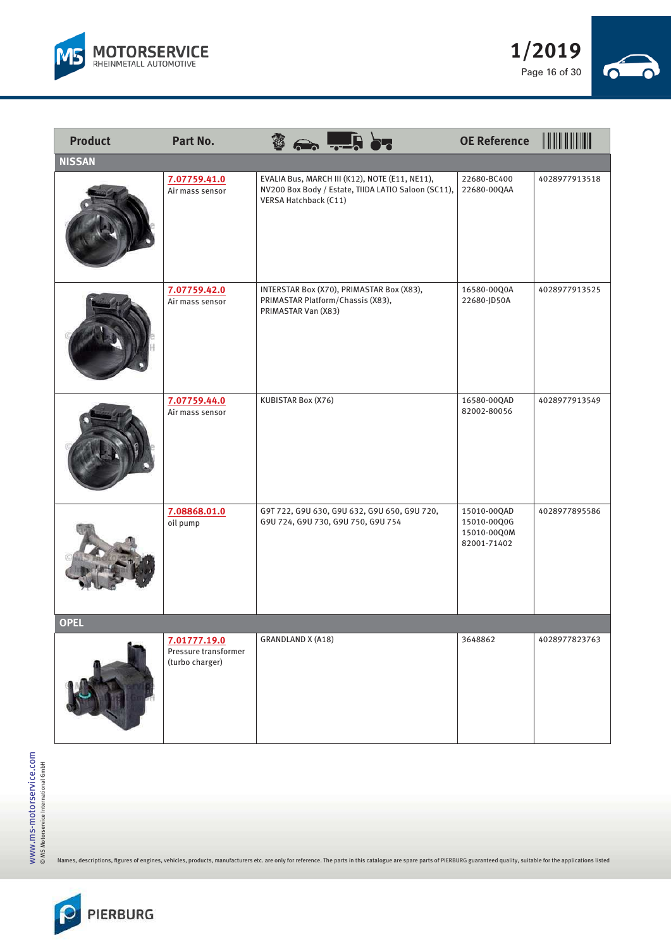



| <b>Product</b> | <b>Part No.</b>                                         | ▐▖≻▃<br>$\lambda$                                                                                                              | <b>OE Reference</b>                                      |               |
|----------------|---------------------------------------------------------|--------------------------------------------------------------------------------------------------------------------------------|----------------------------------------------------------|---------------|
| <b>NISSAN</b>  |                                                         |                                                                                                                                |                                                          |               |
|                | 7.07759.41.0<br>Air mass sensor                         | EVALIA Bus, MARCH III (K12), NOTE (E11, NE11),<br>NV200 Box Body / Estate, TIIDA LATIO Saloon (SC11),<br>VERSA Hatchback (C11) | 22680-BC400<br>22680-00QAA                               | 4028977913518 |
|                | 7.07759.42.0<br>Air mass sensor                         | INTERSTAR Box (X70), PRIMASTAR Box (X83),<br>PRIMASTAR Platform/Chassis (X83),<br>PRIMASTAR Van (X83)                          | 16580-00Q0A<br>22680-JD50A                               | 4028977913525 |
|                | 7.07759.44.0<br>Air mass sensor                         | KUBISTAR Box (X76)                                                                                                             | 16580-00QAD<br>82002-80056                               | 4028977913549 |
|                | 7.08868.01.0<br>oil pump                                | G9T 722, G9U 630, G9U 632, G9U 650, G9U 720,<br>G9U 724, G9U 730, G9U 750, G9U 754                                             | 15010-00QAD<br>15010-00Q0G<br>15010-00Q0M<br>82001-71402 | 4028977895586 |
| <b>OPEL</b>    |                                                         |                                                                                                                                |                                                          |               |
|                | 7.01777.19.0<br>Pressure transformer<br>(turbo charger) | <b>GRANDLAND X (A18)</b>                                                                                                       | 3648862                                                  | 4028977823763 |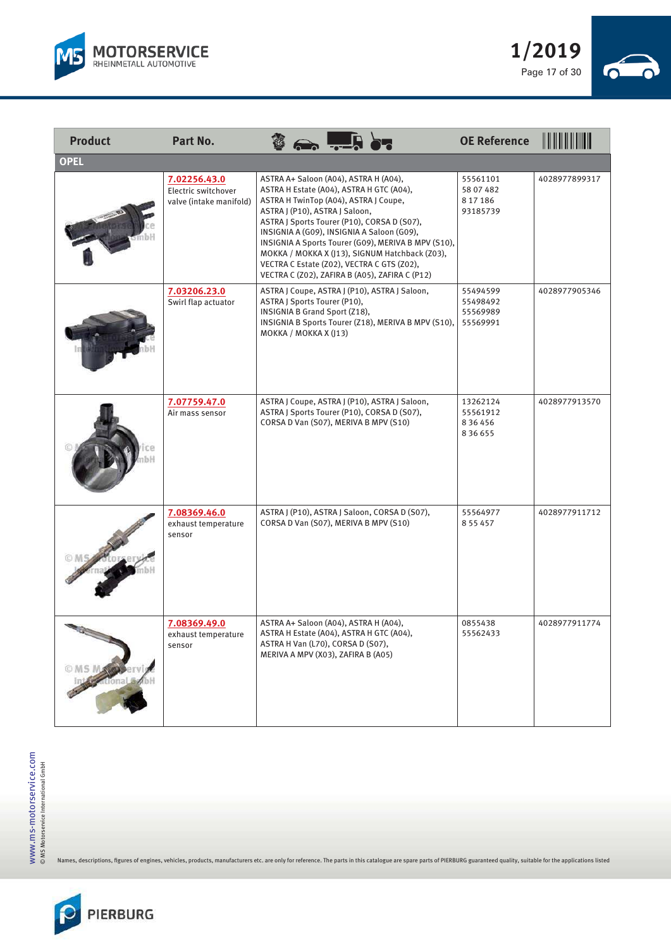



| <b>Product</b>   | Part No.                                                       |                                                                                                                                                                                                                                                                                                                                                                                                                                                                    | <b>OE Reference</b>                                | <b>II II II II III</b> II |
|------------------|----------------------------------------------------------------|--------------------------------------------------------------------------------------------------------------------------------------------------------------------------------------------------------------------------------------------------------------------------------------------------------------------------------------------------------------------------------------------------------------------------------------------------------------------|----------------------------------------------------|---------------------------|
| <b>OPEL</b>      |                                                                |                                                                                                                                                                                                                                                                                                                                                                                                                                                                    |                                                    |                           |
|                  | 7.02256.43.0<br>Electric switchover<br>valve (intake manifold) | ASTRA A+ Saloon (A04), ASTRA H (A04),<br>ASTRA H Estate (A04), ASTRA H GTC (A04),<br>ASTRA H TwinTop (A04), ASTRA J Coupe,<br>ASTRA J (P10), ASTRA J Saloon,<br>ASTRA J Sports Tourer (P10), CORSA D (S07),<br>INSIGNIA A (G09), INSIGNIA A Saloon (G09),<br>INSIGNIA A Sports Tourer (G09), MERIVA B MPV (S10),<br>MOKKA / MOKKA X (J13), SIGNUM Hatchback (Z03),<br>VECTRA C Estate (Z02), VECTRA C GTS (Z02),<br>VECTRA C (Z02), ZAFIRA B (A05), ZAFIRA C (P12) | 55561101<br>58 07 482<br>8 17 18 6<br>93185739     | 4028977899317             |
|                  | 7.03206.23.0<br>Swirl flap actuator                            | ASTRA J Coupe, ASTRA J (P10), ASTRA J Saloon,<br>ASTRA J Sports Tourer (P10),<br>INSIGNIA B Grand Sport (Z18),<br>INSIGNIA B Sports Tourer (Z18), MERIVA B MPV (S10),<br>MOKKA / MOKKA X (J13)                                                                                                                                                                                                                                                                     | 55494599<br>55498492<br>55569989<br>55569991       | 4028977905346             |
|                  | 7.07759.47.0<br>Air mass sensor                                | ASTRA J Coupe, ASTRA J (P10), ASTRA J Saloon,<br>ASTRA J Sports Tourer (P10), CORSA D (S07),<br>CORSA D Van (S07), MERIVA B MPV (S10)                                                                                                                                                                                                                                                                                                                              | 13262124<br>55561912<br>8 3 6 4 5 6<br>8 3 6 6 5 5 | 4028977913570             |
|                  | 7.08369.46.0<br>exhaust temperature<br>sensor                  | ASTRA J (P10), ASTRA J Saloon, CORSA D (S07),<br>CORSA D Van (S07), MERIVA B MPV (S10)                                                                                                                                                                                                                                                                                                                                                                             | 55564977<br>8 5 5 4 5 7                            | 4028977911712             |
| O MS MARY ervise | 7.08369.49.0<br>exhaust temperature<br>sensor                  | ASTRA A+ Saloon (A04), ASTRA H (A04),<br>ASTRA H Estate (A04), ASTRA H GTC (A04),<br>ASTRA H Van (L70), CORSA D (S07),<br>MERIVA A MPV (X03), ZAFIRA B (A05)                                                                                                                                                                                                                                                                                                       | 0855438<br>55562433                                | 4028977911774             |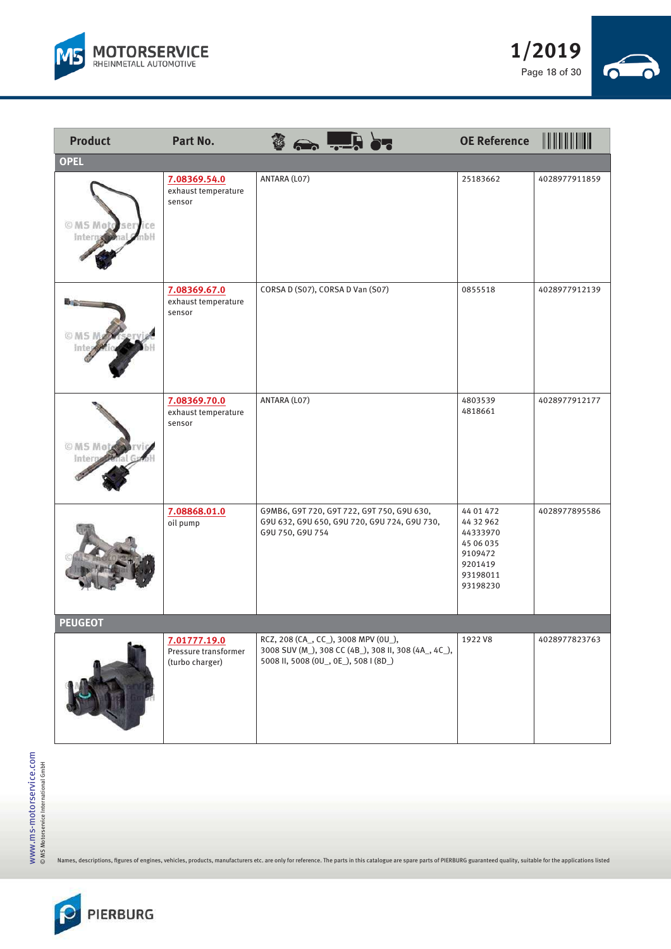



| <b>Product</b>                  | <b>Part No.</b>                                         | $\leftrightarrow$ $\frac{1}{2}$ $\leftrightarrow$                                                                                     | <b>OE Reference</b>                                                                           |               |
|---------------------------------|---------------------------------------------------------|---------------------------------------------------------------------------------------------------------------------------------------|-----------------------------------------------------------------------------------------------|---------------|
| <b>OPEL</b>                     |                                                         |                                                                                                                                       |                                                                                               |               |
| © MS Moto sery<br>ce<br>Interna | 7.08369.54.0<br>exhaust temperature<br>sensor           | ANTARA (L07)                                                                                                                          | 25183662                                                                                      | 4028977911859 |
|                                 | 7.08369.67.0<br>exhaust temperature<br>sensor           | CORSA D (S07), CORSA D Van (S07)                                                                                                      | 0855518                                                                                       | 4028977912139 |
| © MS Mot<br>int                 | 7.08369.70.0<br>exhaust temperature<br>sensor           | ANTARA (LO7)                                                                                                                          | 4803539<br>4818661                                                                            | 4028977912177 |
|                                 | 7.08868.01.0<br>oil pump                                | G9MB6, G9T 720, G9T 722, G9T 750, G9U 630,<br>G9U 632, G9U 650, G9U 720, G9U 724, G9U 730,<br>G9U 750, G9U 754                        | 44 01 472<br>44 32 962<br>44333970<br>45 06 035<br>9109472<br>9201419<br>93198011<br>93198230 | 4028977895586 |
| <b>PEUGEOT</b>                  |                                                         |                                                                                                                                       |                                                                                               |               |
|                                 | 7.01777.19.0<br>Pressure transformer<br>(turbo charger) | RCZ, 208 (CA_, CC_), 3008 MPV (0U_),<br>3008 SUV (M_), 308 CC (4B_), 308 II, 308 (4A_, 4C_),<br>5008 II, 5008 (0U_, 0E_), 508 I (8D_) | 1922 V8                                                                                       | 4028977823763 |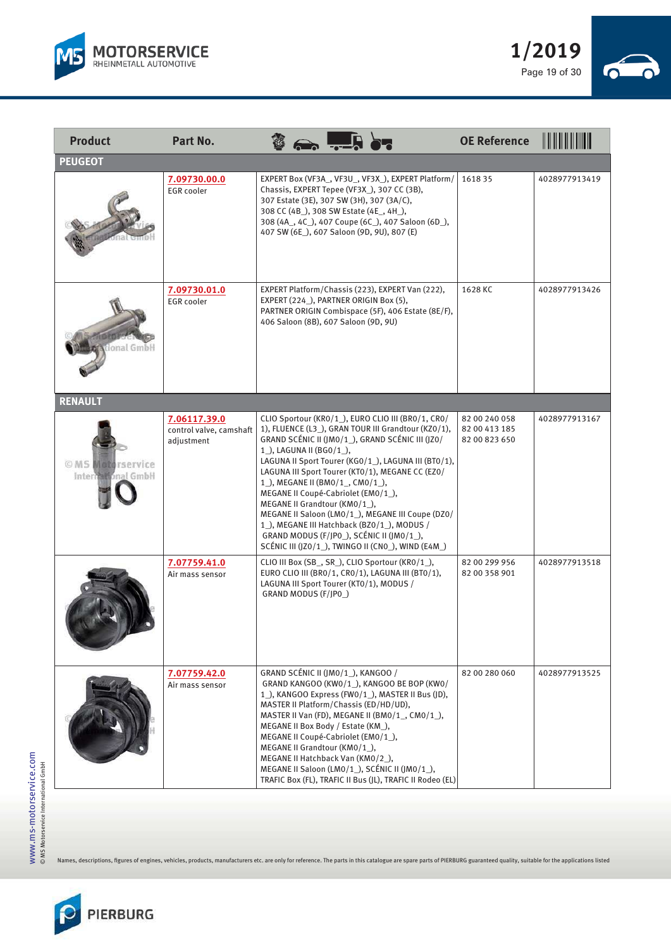



| <b>Product</b>                                  | Part No.                                              | $\Rightarrow$ with $\frac{1}{2}$                                                                                                                                                                                                                                                                                                                                                                                                                                                                                                                                                                                  | <b>OE Reference</b>                             | <u> III III III IIII III</u> |
|-------------------------------------------------|-------------------------------------------------------|-------------------------------------------------------------------------------------------------------------------------------------------------------------------------------------------------------------------------------------------------------------------------------------------------------------------------------------------------------------------------------------------------------------------------------------------------------------------------------------------------------------------------------------------------------------------------------------------------------------------|-------------------------------------------------|------------------------------|
| <b>PEUGEOT</b>                                  |                                                       |                                                                                                                                                                                                                                                                                                                                                                                                                                                                                                                                                                                                                   |                                                 |                              |
|                                                 | 7.09730.00.0<br><b>EGR</b> cooler                     | EXPERT Box (VF3A_, VF3U_, VF3X_), EXPERT Platform/<br>Chassis, EXPERT Tepee (VF3X), 307 CC (3B),<br>307 Estate (3E), 307 SW (3H), 307 (3A/C),<br>308 CC (4B_), 308 SW Estate (4E_, 4H_),<br>308 (4A_, 4C_), 407 Coupe (6C_), 407 Saloon (6D_),<br>407 SW (6E_), 607 Saloon (9D, 9U), 807 (E)                                                                                                                                                                                                                                                                                                                      | 161835                                          | 4028977913419                |
| onal GmbH                                       | 7.09730.01.0<br><b>EGR</b> cooler                     | EXPERT Platform/Chassis (223), EXPERT Van (222),<br>EXPERT (224_), PARTNER ORIGIN Box (5),<br>PARTNER ORIGIN Combispace (5F), 406 Estate (8E/F),<br>406 Saloon (8B), 607 Saloon (9D, 9U)                                                                                                                                                                                                                                                                                                                                                                                                                          | 1628 KC                                         | 4028977913426                |
| <b>RENAULT</b>                                  |                                                       |                                                                                                                                                                                                                                                                                                                                                                                                                                                                                                                                                                                                                   |                                                 |                              |
| © MS <b>Moto</b> rservice<br>International GmbH | 7.06117.39.0<br>control valve, camshaft<br>adjustment | CLIO Sportour (KRO/1_), EURO CLIO III (BRO/1, CRO/<br>1), FLUENCE (L3), GRAN TOUR III Grandtour (KZ0/1),<br>GRAND SCÉNIC II (JMO/1_), GRAND SCÉNIC III (JZO/<br>1), LAGUNA II (BG0/1),<br>LAGUNA II Sport Tourer (KGO/1_), LAGUNA III (BTO/1),<br>LAGUNA III Sport Tourer (KTO/1), MEGANE CC (EZO/<br>1), MEGANE II (BMO/1, CMO/1),<br>MEGANE II Coupé-Cabriolet (EM0/1),<br>MEGANE II Grandtour (KM0/1_),<br>MEGANE II Saloon (LMO/1_), MEGANE III Coupe (DZO/<br>1_), MEGANE III Hatchback (BZ0/1_), MODUS /<br>GRAND MODUS (F/JPO_), SCÉNIC II (JMO/1_),<br>SCÉNIC III (JZO/1_), TWINGO II (CNO_), WIND (E4M_) | 82 00 240 058<br>82 00 413 185<br>82 00 823 650 | 4028977913167                |
|                                                 | 7.07759.41.0<br>Air mass sensor                       | CLIO III Box (SB_, SR_), CLIO Sportour (KRO/1_),<br>EURO CLIO III (BRO/1, CRO/1), LAGUNA III (BTO/1),<br>LAGUNA III Sport Tourer (KT0/1), MODUS /<br>GRAND MODUS (F/JP0_)                                                                                                                                                                                                                                                                                                                                                                                                                                         | 82 00 299 956<br>82 00 358 901                  | 4028977913518                |
|                                                 | 7.07759.42.0<br>Air mass sensor                       | GRAND SCÉNIC II (JMO/1_), KANGOO /<br>GRAND KANGOO (KWO/1_), KANGOO BE BOP (KWO/<br>1), KANGOO Express (FWO/1), MASTER II Bus (JD),<br>MASTER II Platform/Chassis (ED/HD/UD),<br>MASTER II Van (FD), MEGANE II (BMO/1, CMO/1),<br>MEGANE II Box Body / Estate (KM_),<br>MEGANE II Coupé-Cabriolet (EM0/1),<br>MEGANE II Grandtour (KM0/1_),<br>MEGANE II Hatchback Van (KMO/2),<br>MEGANE II Saloon (LMO/1_), SCENIC II (JMO/1_),<br>TRAFIC Box (FL), TRAFIC II Bus (JL), TRAFIC II Rodeo (EL)                                                                                                                    | 82 00 280 060                                   | 4028977913525                |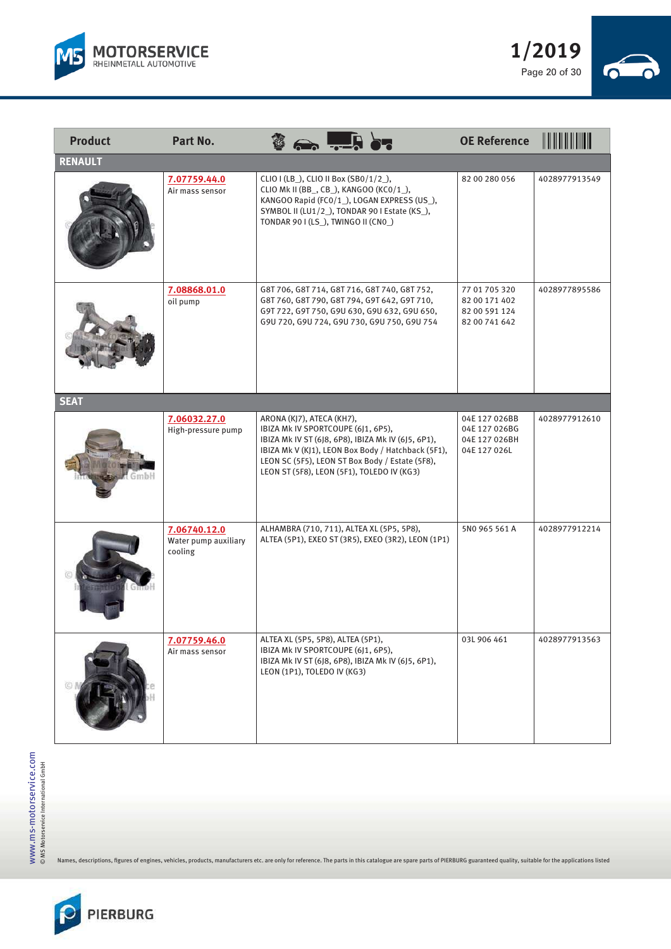



| <b>Product</b> | Part No.                                        |                                                                                                                                                                                                                                                                              | <b>OE Reference</b>                                              | <u>HII HII HII HII HII </u> |
|----------------|-------------------------------------------------|------------------------------------------------------------------------------------------------------------------------------------------------------------------------------------------------------------------------------------------------------------------------------|------------------------------------------------------------------|-----------------------------|
| <b>RENAULT</b> |                                                 |                                                                                                                                                                                                                                                                              |                                                                  |                             |
|                | 7.07759.44.0<br>Air mass sensor                 | CLIO I (LB_), CLIO II Box (SB0/1/2_),<br>CLIO Mk II (BB_, CB_), KANGOO (KCO/1_),<br>KANGOO Rapid (FCO/1_), LOGAN EXPRESS (US_),<br>SYMBOL II (LU1/2), TONDAR 90 I Estate (KS),<br>TONDAR 90 I (LS_), TWINGO II (CNO_)                                                        | 82 00 280 056                                                    | 4028977913549               |
|                | 7.08868.01.0<br>oil pump                        | G8T 706, G8T 714, G8T 716, G8T 740, G8T 752,<br>G8T 760, G8T 790, G8T 794, G9T 642, G9T 710,<br>G9T 722, G9T 750, G9U 630, G9U 632, G9U 650,<br>G9U 720, G9U 724, G9U 730, G9U 750, G9U 754                                                                                  | 77 01 705 320<br>82 00 171 402<br>82 00 591 124<br>82 00 741 642 | 4028977895586               |
| <b>SEAT</b>    |                                                 |                                                                                                                                                                                                                                                                              |                                                                  |                             |
|                | 7.06032.27.0<br>High-pressure pump              | ARONA (KJ7), ATECA (KH7),<br>IBIZA Mk IV SPORTCOUPE (6J1, 6P5),<br>IBIZA Mk IV ST (6J8, 6P8), IBIZA Mk IV (6J5, 6P1),<br>IBIZA Mk V (KJ1), LEON Box Body / Hatchback (5F1),<br>LEON SC (5F5), LEON ST Box Body / Estate (5F8),<br>LEON ST (5F8), LEON (5F1), TOLEDO IV (KG3) | 04E 127 026BB<br>04E 127 026BG<br>04E 127 026BH<br>04E 127 026L  | 4028977912610               |
|                | 7.06740.12.0<br>Water pump auxiliary<br>cooling | ALHAMBRA (710, 711), ALTEA XL (5P5, 5P8),<br>ALTEA (5P1), EXEO ST (3R5), EXEO (3R2), LEON (1P1)                                                                                                                                                                              | 5N0 965 561 A                                                    | 4028977912214               |
|                | 7.07759.46.0<br>Air mass sensor                 | ALTEA XL (5P5, 5P8), ALTEA (5P1),<br>IBIZA Mk IV SPORTCOUPE (6J1, 6P5),<br>IBIZA Mk IV ST (6J8, 6P8), IBIZA Mk IV (6J5, 6P1),<br>LEON (1P1), TOLEDO IV (KG3)                                                                                                                 | 03L 906 461                                                      | 4028977913563               |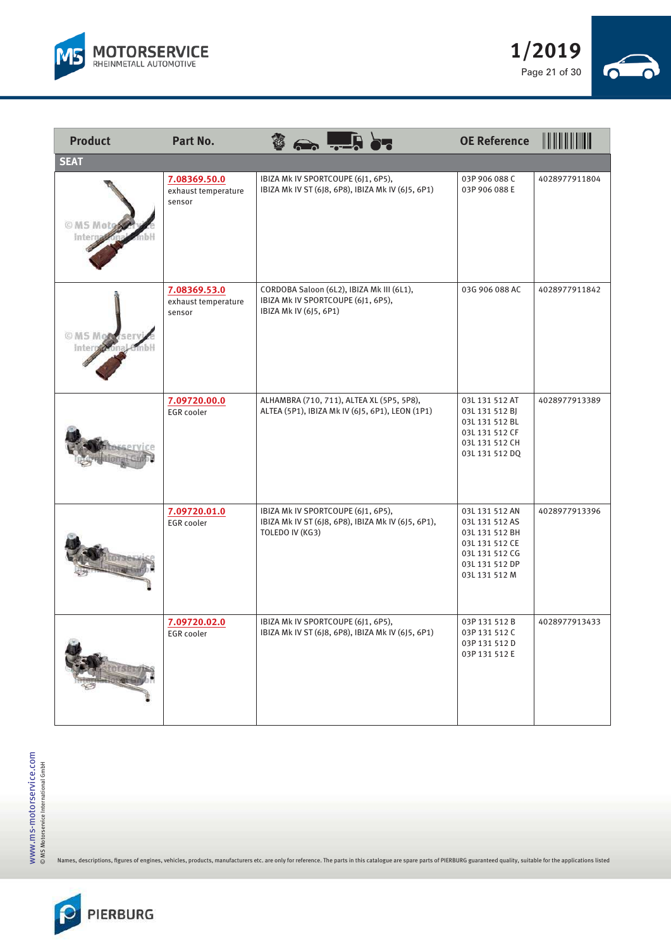



| <b>Product</b>        | Part No.                                      |                        | $\leftrightarrow$ $\frac{1}{2}$ or                                                           | <b>OE Reference</b>                                                                                                       | <u> IIII IIII III</u> |
|-----------------------|-----------------------------------------------|------------------------|----------------------------------------------------------------------------------------------|---------------------------------------------------------------------------------------------------------------------------|-----------------------|
| <b>SEAT</b>           |                                               |                        |                                                                                              |                                                                                                                           |                       |
| O MS Motos<br>Interna | 7.08369.50.0<br>exhaust temperature<br>sensor |                        | IBIZA Mk IV SPORTCOUPE (6J1, 6P5),<br>IBIZA Mk IV ST (6J8, 6P8), IBIZA Mk IV (6J5, 6P1)      | 03P 906 088 C<br>03P 906 088 E                                                                                            | 4028977911804         |
| Inte                  | 7.08369.53.0<br>exhaust temperature<br>sensor | IBIZA Mk IV (6J5, 6P1) | CORDOBA Saloon (6L2), IBIZA Mk III (6L1),<br>IBIZA Mk IV SPORTCOUPE (6J1, 6P5),              | 03G 906 088 AC                                                                                                            | 4028977911842         |
|                       | 7.09720.00.0<br><b>EGR</b> cooler             |                        | ALHAMBRA (710, 711), ALTEA XL (5P5, 5P8),<br>ALTEA (5P1), IBIZA Mk IV (6J5, 6P1), LEON (1P1) | 03L 131 512 AT<br>03L 131 512 BJ<br>03L 131 512 BL<br>03L 131 512 CF<br>03L 131 512 CH<br>03L 131 512 DQ                  | 4028977913389         |
|                       | 7.09720.01.0<br><b>EGR</b> cooler             | TOLEDO IV (KG3)        | IBIZA Mk IV SPORTCOUPE (6J1, 6P5),<br>IBIZA Mk IV ST (6J8, 6P8), IBIZA Mk IV (6J5, 6P1),     | 03L 131 512 AN<br>03L 131 512 AS<br>03L 131 512 BH<br>03L 131 512 CE<br>03L 131 512 CG<br>03L 131 512 DP<br>03L 131 512 M | 4028977913396         |
|                       | 7.09720.02.0<br>EGR cooler                    |                        | IBIZA Mk IV SPORTCOUPE (6J1, 6P5),<br>IBIZA Mk IV ST (6J8, 6P8), IBIZA Mk IV (6J5, 6P1)      | 03P 131 512 B<br>03P 131 512 C<br>03P 131 512 D<br>03P 131 512 E                                                          | 4028977913433         |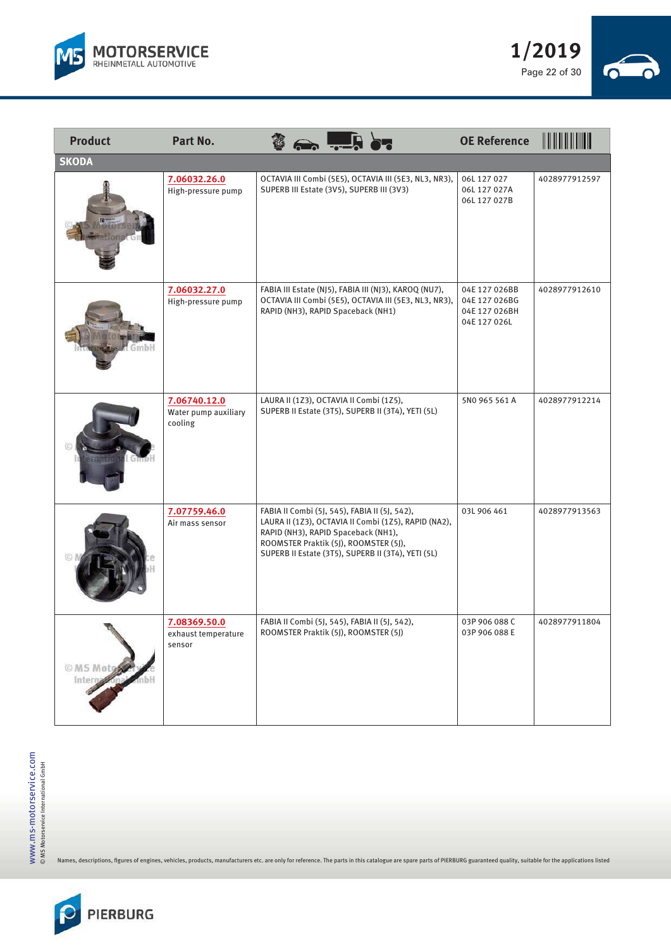



| <b>Product</b> | Part No.                                        |                                                                                                                                                                                                                                             | <b>OE Reference</b>                                             |               |
|----------------|-------------------------------------------------|---------------------------------------------------------------------------------------------------------------------------------------------------------------------------------------------------------------------------------------------|-----------------------------------------------------------------|---------------|
| <b>SKODA</b>   |                                                 |                                                                                                                                                                                                                                             |                                                                 |               |
|                | 7.06032.26.0<br>High-pressure pump              | OCTAVIA III Combi (5E5), OCTAVIA III (5E3, NL3, NR3),<br>SUPERB III Estate (3V5), SUPERB III (3V3)                                                                                                                                          | 06L 127 027<br>06L 127 027A<br>06L 127 027B                     | 4028977912597 |
|                | 7.06032.27.0<br>High-pressure pump              | FABIA III Estate (NJ5), FABIA III (NJ3), KAROQ (NU7),<br>OCTAVIA III Combi (5E5), OCTAVIA III (5E3, NL3, NR3),<br>RAPID (NH3), RAPID Spaceback (NH1)                                                                                        | 04E 127 026BB<br>04E 127 026BG<br>04E 127 026BH<br>04E 127 026L | 4028977912610 |
|                | 7.06740.12.0<br>Water pump auxiliary<br>cooling | LAURA II (1Z3), OCTAVIA II Combi (1Z5),<br>SUPERB II Estate (3T5), SUPERB II (3T4), YETI (5L)                                                                                                                                               | 5N0 965 561 A                                                   | 4028977912214 |
|                | 7.07759.46.0<br>Air mass sensor                 | FABIA II Combi (5J, 545), FABIA II (5J, 542),<br>LAURA II (1Z3), OCTAVIA II Combi (1Z5), RAPID (NA2),<br>RAPID (NH3), RAPID Spaceback (NH1),<br>ROOMSTER Praktik (5J), ROOMSTER (5J),<br>SUPERB II Estate (3T5), SUPERB II (3T4), YETI (5L) | 03L 906 461                                                     | 4028977913563 |
| © MS Mol       | 7.08369.50.0<br>exhaust temperature<br>sensor   | FABIA II Combi (5J, 545), FABIA II (5J, 542),<br>ROOMSTER Praktik (5J), ROOMSTER (5J)                                                                                                                                                       | 03P 906 088 C<br>03P 906 088 E                                  | 4028977911804 |

 $\overline{\phantom{a}}$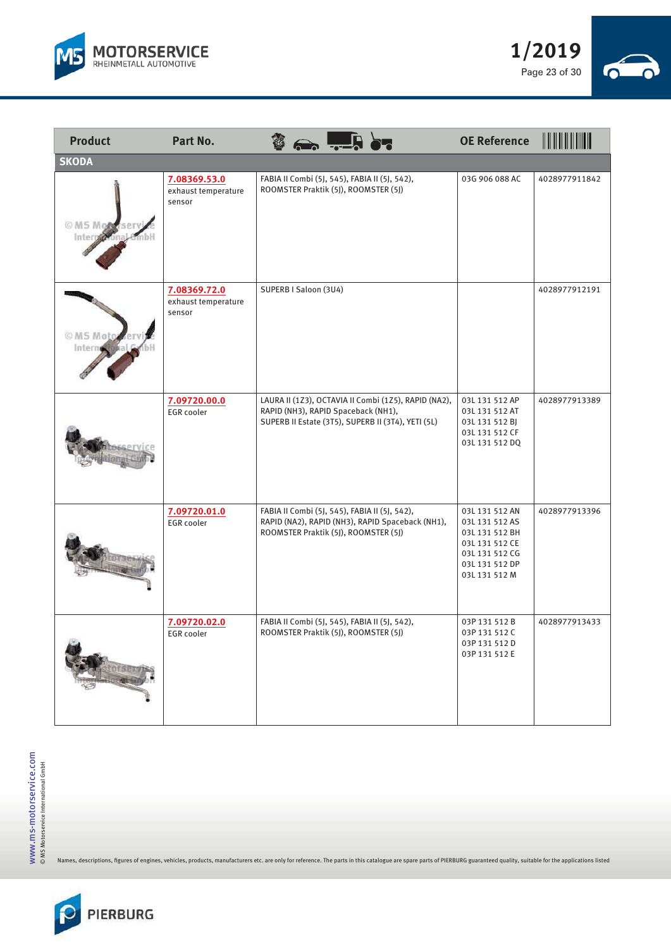



| <b>Product</b>      | Part No.                                      |                       |                                                                                                                                                   | <b>OE Reference</b>                                                                                                       |               |
|---------------------|-----------------------------------------------|-----------------------|---------------------------------------------------------------------------------------------------------------------------------------------------|---------------------------------------------------------------------------------------------------------------------------|---------------|
| <b>SKODA</b>        |                                               |                       |                                                                                                                                                   |                                                                                                                           |               |
| © MS Mo             | 7.08369.53.0<br>exhaust temperature<br>sensor |                       | FABIA II Combi (5J, 545), FABIA II (5J, 542),<br>ROOMSTER Praktik (5J), ROOMSTER (5J)                                                             | 03G 906 088 AC                                                                                                            | 4028977911842 |
| © MS Motg<br>Interr | 7.08369.72.0<br>exhaust temperature<br>sensor | SUPERB I Saloon (3U4) |                                                                                                                                                   |                                                                                                                           | 4028977912191 |
|                     | 7.09720.00.0<br><b>EGR</b> cooler             |                       | LAURA II (1Z3), OCTAVIA II Combi (1Z5), RAPID (NA2),<br>RAPID (NH3), RAPID Spaceback (NH1),<br>SUPERB II Estate (3T5), SUPERB II (3T4), YETI (5L) | 03L 131 512 AP<br>03L 131 512 AT<br>03L 131 512 BJ<br>03L 131 512 CF<br>03L 131 512 DQ                                    | 4028977913389 |
|                     | 7.09720.01.0<br>EGR cooler                    |                       | FABIA II Combi (5J, 545), FABIA II (5J, 542),<br>RAPID (NA2), RAPID (NH3), RAPID Spaceback (NH1),<br>ROOMSTER Praktik (5J), ROOMSTER (5J)         | 03L 131 512 AN<br>03L 131 512 AS<br>03L 131 512 BH<br>03L 131 512 CE<br>03L 131 512 CG<br>03L 131 512 DP<br>03L 131 512 M | 4028977913396 |
|                     | 7.09720.02.0<br><b>EGR</b> cooler             |                       | FABIA II Combi (5J, 545), FABIA II (5J, 542),<br>ROOMSTER Praktik (5J), ROOMSTER (5J)                                                             | 03P 131 512 B<br>03P 131 512 C<br>03P 131 512 D<br>03P 131 512 E                                                          | 4028977913433 |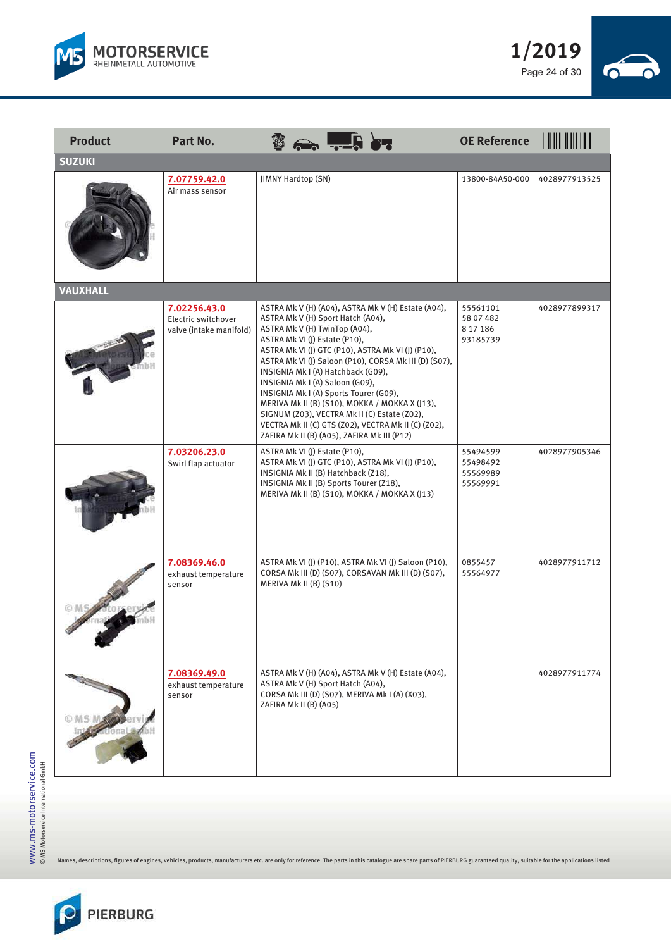



| <b>Product</b>    | Part No.                                                       |                                                                                                                                                                                                                                                                                                                                                                                                                                                                                                                                                                                                    | <b>OE Reference</b>                            | <b>IIIIIIIIIIIIII</b> |
|-------------------|----------------------------------------------------------------|----------------------------------------------------------------------------------------------------------------------------------------------------------------------------------------------------------------------------------------------------------------------------------------------------------------------------------------------------------------------------------------------------------------------------------------------------------------------------------------------------------------------------------------------------------------------------------------------------|------------------------------------------------|-----------------------|
| <b>SUZUKI</b>     |                                                                |                                                                                                                                                                                                                                                                                                                                                                                                                                                                                                                                                                                                    |                                                |                       |
|                   | 7.07759.42.0<br>Air mass sensor                                | <b>JIMNY Hardtop (SN)</b>                                                                                                                                                                                                                                                                                                                                                                                                                                                                                                                                                                          | 13800-84A50-000                                | 4028977913525         |
| <b>VAUXHALL</b>   |                                                                |                                                                                                                                                                                                                                                                                                                                                                                                                                                                                                                                                                                                    |                                                |                       |
|                   | 7.02256.43.0<br>Electric switchover<br>valve (intake manifold) | ASTRA Mk V (H) (A04), ASTRA Mk V (H) Estate (A04),<br>ASTRA Mk V (H) Sport Hatch (A04),<br>ASTRA Mk V (H) TwinTop (A04),<br>ASTRA Mk VI (J) Estate (P10),<br>ASTRA Mk VI (I) GTC (P10), ASTRA Mk VI (I) (P10),<br>ASTRA Mk VI (J) Saloon (P10), CORSA Mk III (D) (S07),<br>INSIGNIA Mk I (A) Hatchback (G09),<br>INSIGNIA Mk I (A) Saloon (G09),<br>INSIGNIA Mk I (A) Sports Tourer (G09),<br>MERIVA Mk II (B) (S10), MOKKA / MOKKA X (J13),<br>SIGNUM (Z03), VECTRA Mk II (C) Estate (Z02),<br>VECTRA Mk II (C) GTS (Z02), VECTRA Mk II (C) (Z02),<br>ZAFIRA Mk II (B) (A05), ZAFIRA Mk III (P12) | 55561101<br>58 07 482<br>8 17 18 6<br>93185739 | 4028977899317         |
|                   | 7.03206.23.0<br>Swirl flap actuator                            | ASTRA Mk VI (J) Estate (P10),<br>ASTRA Mk VI (J) GTC (P10), ASTRA Mk VI (J) (P10),<br>INSIGNIA Mk II (B) Hatchback (Z18),<br>INSIGNIA Mk II (B) Sports Tourer (Z18),<br>MERIVA Mk II (B) (S10), MOKKA / MOKKA X (J13)                                                                                                                                                                                                                                                                                                                                                                              | 55494599<br>55498492<br>55569989<br>55569991   | 4028977905346         |
|                   | 7.08369.46.0<br>exhaust temperature<br>sensor                  | ASTRA Mk VI (J) (P10), ASTRA Mk VI (J) Saloon (P10),<br>CORSA Mk III (D) (S07), CORSAVAN Mk III (D) (S07),<br>MERIVA Mk II (B) (S10)                                                                                                                                                                                                                                                                                                                                                                                                                                                               | 0855457<br>55564977                            | 4028977911712         |
| <b>All Andrew</b> | 7.08369.49.0<br>exhaust temperature<br>sensor                  | ASTRA Mk V (H) (A04), ASTRA Mk V (H) Estate (A04),<br>ASTRA Mk V (H) Sport Hatch (A04),<br>CORSA Mk III (D) (S07), MERIVA Mk I (A) (X03),<br>ZAFIRA Mk II (B) (A05)                                                                                                                                                                                                                                                                                                                                                                                                                                |                                                | 4028977911774         |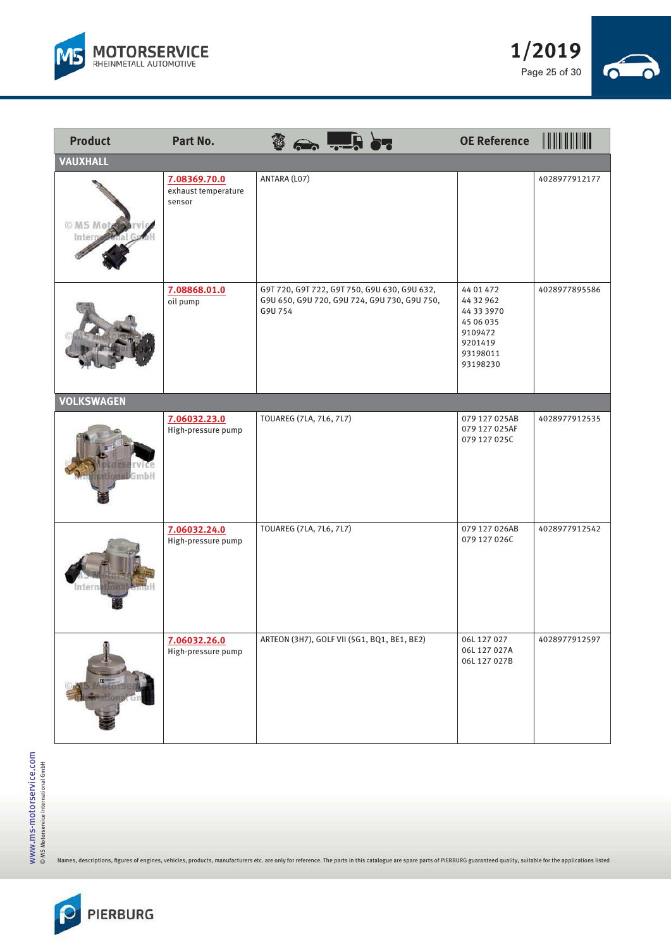



| <b>Product</b>     | Part No.                                      | $\leftrightarrow$ $\frac{1}{2}$ or                                                                      | <b>OE Reference</b>                                                                             |               |
|--------------------|-----------------------------------------------|---------------------------------------------------------------------------------------------------------|-------------------------------------------------------------------------------------------------|---------------|
| <b>VAUXHALL</b>    |                                               |                                                                                                         |                                                                                                 |               |
| O MS Mote<br>Inter | 7.08369.70.0<br>exhaust temperature<br>sensor | ANTARA (L07)                                                                                            |                                                                                                 | 4028977912177 |
|                    | 7.08868.01.0<br>oil pump                      | G9T 720, G9T 722, G9T 750, G9U 630, G9U 632,<br>G9U 650, G9U 720, G9U 724, G9U 730, G9U 750,<br>G9U 754 | 44 01 472<br>44 32 962<br>44 33 3970<br>45 06 035<br>9109472<br>9201419<br>93198011<br>93198230 | 4028977895586 |
| <b>VOLKSWAGEN</b>  |                                               |                                                                                                         |                                                                                                 |               |
| mbH                | 7.06032.23.0<br>High-pressure pump            | TOUAREG (7LA, 7L6, 7L7)                                                                                 | 079 127 025AB<br>079 127 025AF<br>079 127 025C                                                  | 4028977912535 |
| intern:            | 7.06032.24.0<br>High-pressure pump            | TOUAREG (7LA, 7L6, 7L7)                                                                                 | 079 127 026AB<br>079 127 026C                                                                   | 4028977912542 |
| 国"                 | 7.06032.26.0<br>High-pressure pump            | ARTEON (3H7), GOLF VII (5G1, BQ1, BE1, BE2)                                                             | 06L 127 027<br>06L 127 027A<br>06L 127 027B                                                     | 4028977912597 |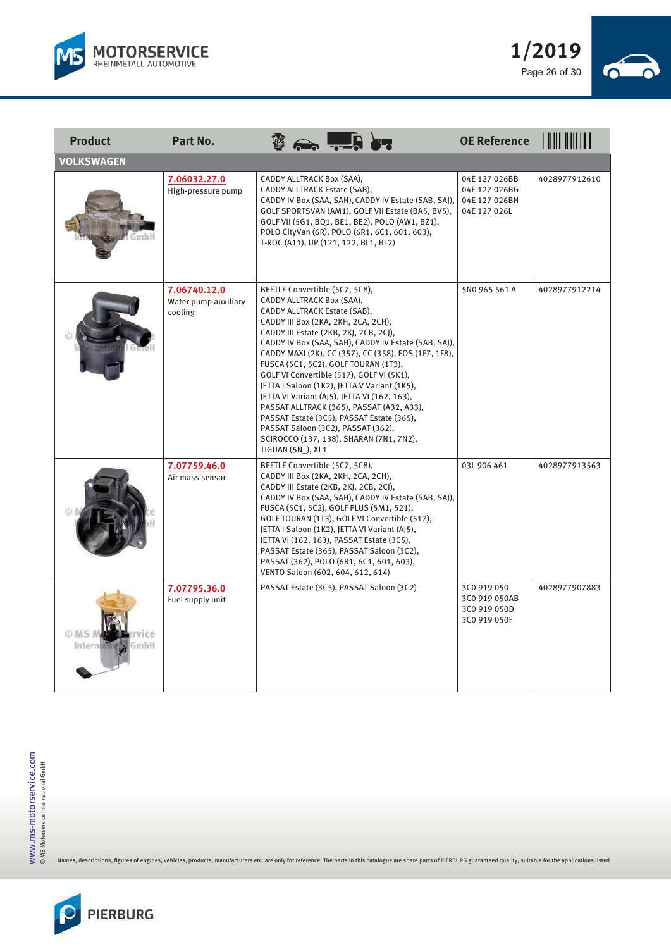



| <b>Product</b>    | Part No.                                        |                                                                                                                                                                                                                                                                                                                                                                                                                                                                                                                                                                                                                                                                                   | <b>OE Reference</b>                                             | II III III IIII III |
|-------------------|-------------------------------------------------|-----------------------------------------------------------------------------------------------------------------------------------------------------------------------------------------------------------------------------------------------------------------------------------------------------------------------------------------------------------------------------------------------------------------------------------------------------------------------------------------------------------------------------------------------------------------------------------------------------------------------------------------------------------------------------------|-----------------------------------------------------------------|---------------------|
| <b>VOLKSWAGEN</b> |                                                 |                                                                                                                                                                                                                                                                                                                                                                                                                                                                                                                                                                                                                                                                                   |                                                                 |                     |
|                   | 7.06032.27.0<br>High-pressure pump              | CADDY ALLTRACK Box (SAA),<br>CADDY ALLTRACK Estate (SAB),<br>CADDY IV Box (SAA, SAH), CADDY IV Estate (SAB, SAJ),<br>GOLF SPORTSVAN (AM1), GOLF VII Estate (BA5, BV5),<br>GOLF VII (5G1, BQ1, BE1, BE2), POLO (AW1, BZ1),<br>POLO CityVan (6R), POLO (6R1, 6C1, 601, 603),<br>T-ROC (A11), UP (121, 122, BL1, BL2)                                                                                                                                                                                                                                                                                                                                                                | 04E 127 026BB<br>04E 127 026BG<br>04E 127 026BH<br>04E 127 026L | 4028977912610       |
|                   | 7.06740.12.0<br>Water pump auxiliary<br>cooling | BEETLE Convertible (5C7, 5C8),<br>CADDY ALLTRACK Box (SAA),<br>CADDY ALLTRACK Estate (SAB),<br>CADDY III Box (2KA, 2KH, 2CA, 2CH),<br>CADDY III Estate (2KB, 2KJ, 2CB, 2CJ),<br>CADDY IV Box (SAA, SAH), CADDY IV Estate (SAB, SAJ),<br>CADDY MAXI (2K), CC (357), CC (358), EOS (1F7, 1F8),<br>FUSCA (5C1, 5C2), GOLF TOURAN (1T3),<br>GOLF VI Convertible (517), GOLF VI (5K1),<br>JETTA I Saloon (1K2), JETTA V Variant (1K5),<br>JETTA VI Variant (AJ5), JETTA VI (162, 163),<br>PASSAT ALLTRACK (365), PASSAT (A32, A33),<br>PASSAT Estate (3C5), PASSAT Estate (365),<br>PASSAT Saloon (3C2), PASSAT (362),<br>SCIROCCO (137, 138), SHARAN (7N1, 7N2),<br>TIGUAN (5N_), XL1 | 5N0 965 561 A                                                   | 4028977912214       |
|                   | 7.07759.46.0<br>Air mass sensor                 | BEETLE Convertible (5C7, 5C8),<br>CADDY III Box (2KA, 2KH, 2CA, 2CH),<br>CADDY III Estate (2KB, 2KJ, 2CB, 2CJ),<br>CADDY IV Box (SAA, SAH), CADDY IV Estate (SAB, SAJ),<br>FUSCA (5C1, 5C2), GOLF PLUS (5M1, 521),<br>GOLF TOURAN (1T3), GOLF VI Convertible (517),<br>JETTA I Saloon (1K2), JETTA VI Variant (AJ5),<br>JETTA VI (162, 163), PASSAT Estate (3C5),<br>PASSAT Estate (365), PASSAT Saloon (3C2),<br>PASSAT (362), POLO (6R1, 6C1, 601, 603),<br>VENTO Saloon (602, 604, 612, 614)                                                                                                                                                                                   | 03L 906 461                                                     | 4028977913563       |
| nbH               | 7.07795.36.0<br>Fuel supply unit                | PASSAT Estate (3C5), PASSAT Saloon (3C2)                                                                                                                                                                                                                                                                                                                                                                                                                                                                                                                                                                                                                                          | 3C0 919 050<br>3C0 919 050AB<br>3C0 919 050D<br>3C0 919 050F    | 4028977907883       |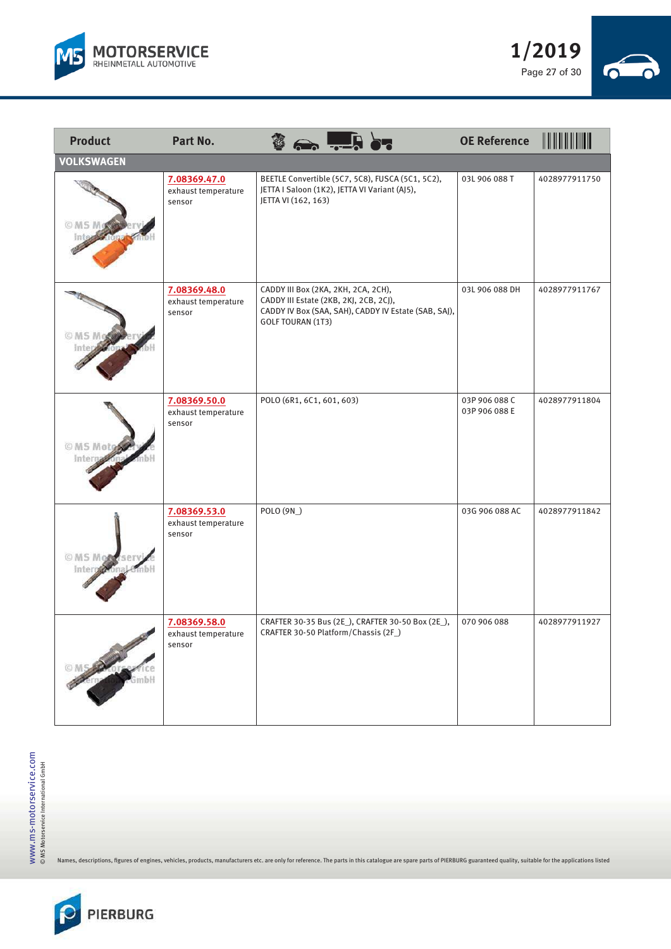



| <b>Product</b>                | Part No.                                      | $\frac{3}{2}$ and $\frac{1}{2}$ . And $\frac{1}{2}$                                                                                                        | <b>OE Reference</b>            |               |
|-------------------------------|-----------------------------------------------|------------------------------------------------------------------------------------------------------------------------------------------------------------|--------------------------------|---------------|
| <b>VOLKSWAGEN</b>             |                                               |                                                                                                                                                            |                                |               |
| © MS Mo                       | 7.08369.47.0<br>exhaust temperature<br>sensor | BEETLE Convertible (5C7, 5C8), FUSCA (5C1, 5C2),<br>JETTA I Saloon (1K2), JETTA VI Variant (AJ5),<br>JETTA VI (162, 163)                                   | 03L 906 088 T                  | 4028977911750 |
|                               | 7.08369.48.0<br>exhaust temperature<br>sensor | CADDY III Box (2KA, 2KH, 2CA, 2CH),<br>CADDY III Estate (2KB, 2KJ, 2CB, 2CJ),<br>CADDY IV Box (SAA, SAH), CADDY IV Estate (SAB, SAJ),<br>GOLF TOURAN (1T3) | 03L 906 088 DH                 | 4028977911767 |
| © MS Motod<br>Inter           | 7.08369.50.0<br>exhaust temperature<br>sensor | POLO (6R1, 6C1, 601, 603)                                                                                                                                  | 03P 906 088 C<br>03P 906 088 E | 4028977911804 |
| <b>OMS Mobilserv</b><br>Inter | 7.08369.53.0<br>exhaust temperature<br>sensor | POLO (9N)                                                                                                                                                  | 03G 906 088 AC                 | 4028977911842 |
|                               | 7.08369.58.0<br>exhaust temperature<br>sensor | CRAFTER 30-35 Bus (2E_), CRAFTER 30-50 Box (2E_),<br>CRAFTER 30-50 Platform/Chassis (2F_)                                                                  | 070 906 088                    | 4028977911927 |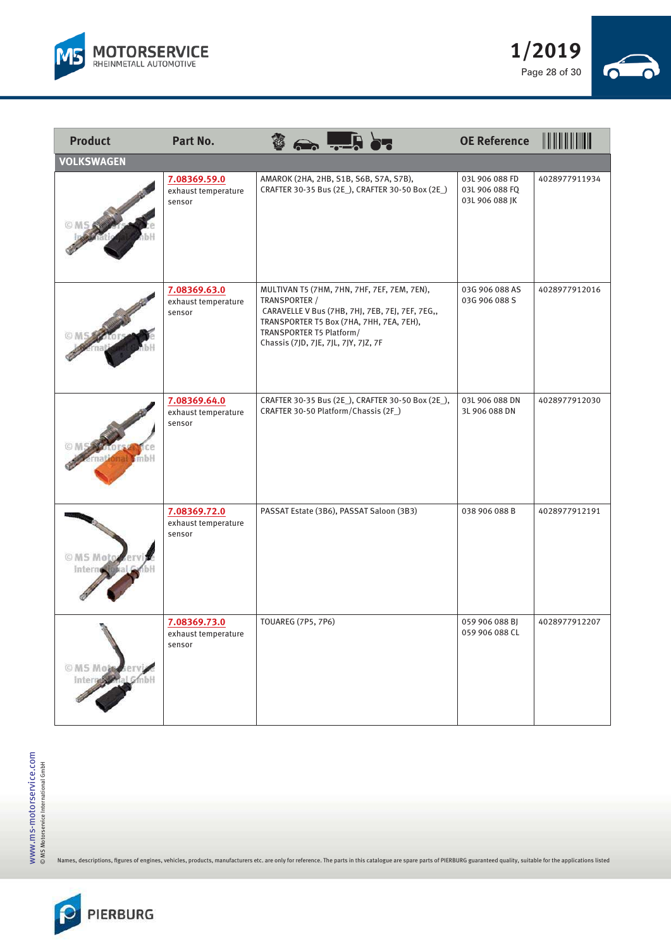



| <b>Product</b>    | Part No.                                      |                                                                                                                                                                                                                                 |                                                   |                                                    |               |
|-------------------|-----------------------------------------------|---------------------------------------------------------------------------------------------------------------------------------------------------------------------------------------------------------------------------------|---------------------------------------------------|----------------------------------------------------|---------------|
| <b>VOLKSWAGEN</b> |                                               |                                                                                                                                                                                                                                 |                                                   |                                                    |               |
|                   | 7.08369.59.0<br>exhaust temperature<br>sensor | AMAROK (2HA, 2HB, S1B, S6B, S7A, S7B),                                                                                                                                                                                          | CRAFTER 30-35 Bus (2E_), CRAFTER 30-50 Box (2E_)  | 03L 906 088 FD<br>03L 906 088 FQ<br>03L 906 088 JK | 4028977911934 |
|                   | 7.08369.63.0<br>exhaust temperature<br>sensor | MULTIVAN T5 (7HM, 7HN, 7HF, 7EF, 7EM, 7EN),<br>TRANSPORTER /<br>CARAVELLE V Bus (7HB, 7HJ, 7EB, 7EJ, 7EF, 7EG,,<br>TRANSPORTER T5 Box (7HA, 7HH, 7EA, 7EH),<br>TRANSPORTER T5 Platform/<br>Chassis (7JD, 7JE, 7JL, 7JY, 7JZ, 7F |                                                   | 03G 906 088 AS<br>03G 906 088 S                    | 4028977912016 |
| $m$ bH            | 7.08369.64.0<br>exhaust temperature<br>sensor | CRAFTER 30-50 Platform/Chassis (2F)                                                                                                                                                                                             | CRAFTER 30-35 Bus (2E_), CRAFTER 30-50 Box (2E_), | 03L 906 088 DN<br>3L 906 088 DN                    | 4028977912030 |
| © MS Mot<br>Inter | 7.08369.72.0<br>exhaust temperature<br>sensor | PASSAT Estate (3B6), PASSAT Saloon (3B3)                                                                                                                                                                                        |                                                   | 038 906 088 B                                      | 4028977912191 |
| © MS Mob<br>Intel | 7.08369.73.0<br>exhaust temperature<br>sensor | <b>TOUAREG (7P5, 7P6)</b>                                                                                                                                                                                                       |                                                   | 059 906 088 BJ<br>059 906 088 CL                   | 4028977912207 |

 $\overline{\phantom{a}}$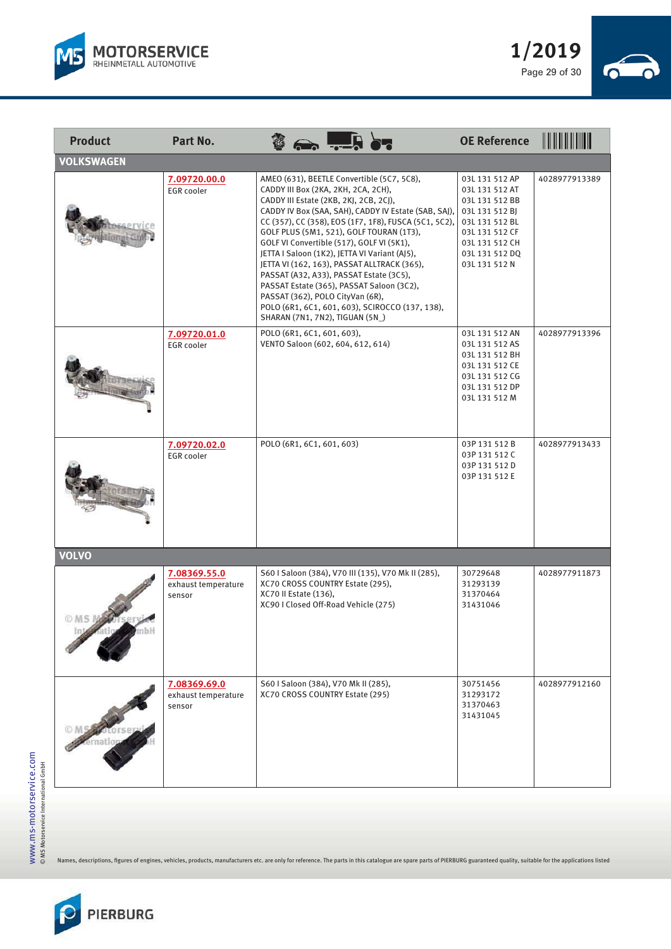



| <b>Product</b>    | Part No.                                      | $\frac{3}{2}$ $\frac{1}{2}$ $\frac{1}{2}$ $\frac{1}{2}$                                                                                                                                                                                                                                                                                                                                                                                                                                                                                                                                                                                                | <b>OE Reference</b>                                                                                                                                           | <u> III III III IIII III</u> |
|-------------------|-----------------------------------------------|--------------------------------------------------------------------------------------------------------------------------------------------------------------------------------------------------------------------------------------------------------------------------------------------------------------------------------------------------------------------------------------------------------------------------------------------------------------------------------------------------------------------------------------------------------------------------------------------------------------------------------------------------------|---------------------------------------------------------------------------------------------------------------------------------------------------------------|------------------------------|
| <b>VOLKSWAGEN</b> |                                               |                                                                                                                                                                                                                                                                                                                                                                                                                                                                                                                                                                                                                                                        |                                                                                                                                                               |                              |
|                   | 7.09720.00.0<br><b>EGR</b> cooler             | AMEO (631), BEETLE Convertible (5C7, 5C8),<br>CADDY III Box (2KA, 2KH, 2CA, 2CH),<br>CADDY III Estate (2KB, 2KJ, 2CB, 2CJ),<br>CADDY IV Box (SAA, SAH), CADDY IV Estate (SAB, SAJ),<br>CC (357), CC (358), EOS (1F7, 1F8), FUSCA (5C1, 5C2),<br>GOLF PLUS (5M1, 521), GOLF TOURAN (1T3),<br>GOLF VI Convertible (517), GOLF VI (5K1),<br>JETTA I Saloon (1K2), JETTA VI Variant (AJ5),<br>JETTA VI (162, 163), PASSAT ALLTRACK (365),<br>PASSAT (A32, A33), PASSAT Estate (3C5),<br>PASSAT Estate (365), PASSAT Saloon (3C2),<br>PASSAT (362), POLO CityVan (6R),<br>POLO (6R1, 6C1, 601, 603), SCIROCCO (137, 138),<br>SHARAN (7N1, 7N2), TIGUAN (5N) | 03L 131 512 AP<br>03L 131 512 AT<br>03L 131 512 BB<br>03L 131 512 BJ<br>03L 131 512 BL<br>03L 131 512 CF<br>03L 131 512 CH<br>03L 131 512 DQ<br>03L 131 512 N | 4028977913389                |
|                   | 7.09720.01.0<br><b>EGR</b> cooler             | POLO (6R1, 6C1, 601, 603),<br>VENTO Saloon (602, 604, 612, 614)                                                                                                                                                                                                                                                                                                                                                                                                                                                                                                                                                                                        | 03L 131 512 AN<br>03L 131 512 AS<br>03L 131 512 BH<br>03L 131 512 CE<br>03L 131 512 CG<br>03L 131 512 DP<br>03L 131 512 M                                     | 4028977913396                |
|                   | 7.09720.02.0<br><b>EGR</b> cooler             | POLO (6R1, 6C1, 601, 603)                                                                                                                                                                                                                                                                                                                                                                                                                                                                                                                                                                                                                              | 03P 131 512 B<br>03P 131 512 C<br>03P 131 512 D<br>03P 131 512 E                                                                                              | 4028977913433                |
| <b>VOLVO</b>      |                                               |                                                                                                                                                                                                                                                                                                                                                                                                                                                                                                                                                                                                                                                        |                                                                                                                                                               |                              |
| <b>OMSN</b>       | 7.08369.55.0<br>exhaust temperature<br>sensor | S60 I Saloon (384), V70 III (135), V70 Mk II (285),<br>XC70 CROSS COUNTRY Estate (295),<br>XC70 II Estate (136),<br>XC90 I Closed Off-Road Vehicle (275)                                                                                                                                                                                                                                                                                                                                                                                                                                                                                               | 30729648<br>31293139<br>31370464<br>31431046                                                                                                                  | 4028977911873                |
|                   | 7.08369.69.0<br>exhaust temperature<br>sensor | S60   Saloon (384), V70 Mk II (285),<br>XC70 CROSS COUNTRY Estate (295)                                                                                                                                                                                                                                                                                                                                                                                                                                                                                                                                                                                | 30751456<br>31293172<br>31370463<br>31431045                                                                                                                  | 4028977912160                |